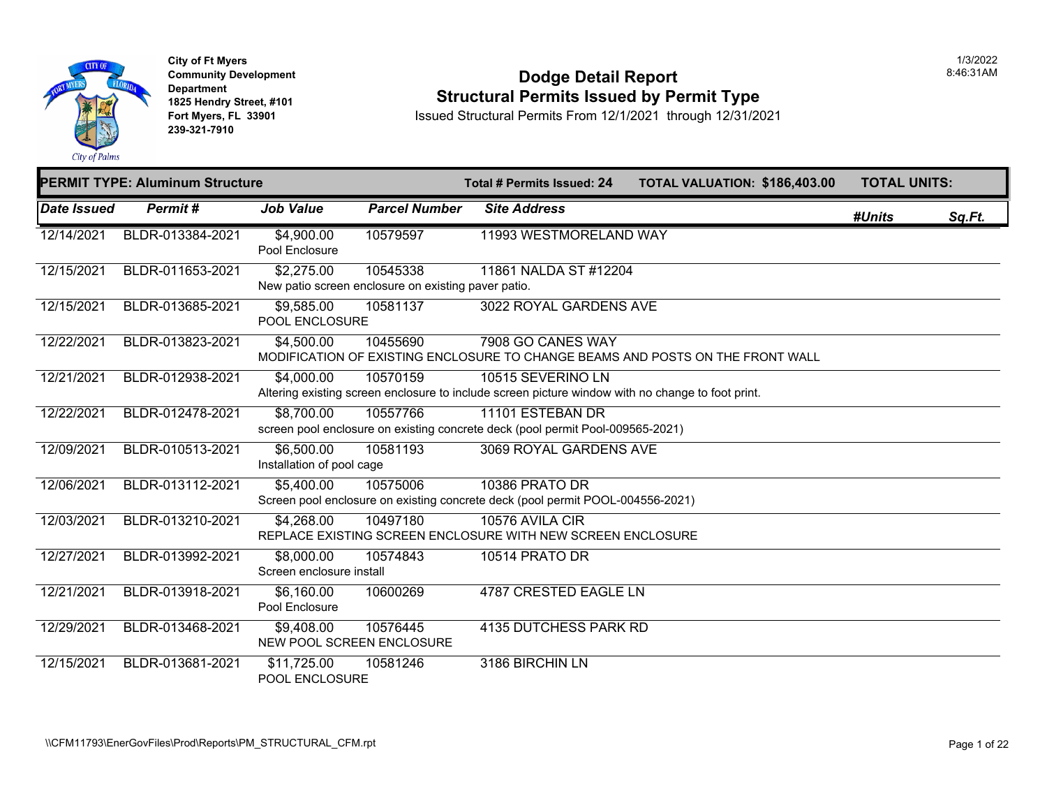

### **Dodge Detail Report Structural Permits Issued by Permit Type**

Issued Structural Permits From 12/1/2021 through 12/31/2021

|                           | <b>PERMIT TYPE: Aluminum Structure</b> |                                         | Total # Permits Issued: 24                                      | <b>TOTAL VALUATION: \$186,40</b>                                                                                       |  |  |
|---------------------------|----------------------------------------|-----------------------------------------|-----------------------------------------------------------------|------------------------------------------------------------------------------------------------------------------------|--|--|
| <i><b>Date Issued</b></i> | Permit#                                | <b>Job Value</b>                        | <b>Parcel Number</b>                                            | <b>Site Address</b>                                                                                                    |  |  |
| 12/14/2021                | BLDR-013384-2021                       | $\sqrt{4,900.00}$<br>Pool Enclosure     | 10579597                                                        | 11993 WESTMORELAND WAY                                                                                                 |  |  |
| 12/15/2021                | BLDR-011653-2021                       | \$2,275.00                              | 10545338<br>New patio screen enclosure on existing paver patio. | 11861 NALDA ST #12204                                                                                                  |  |  |
| 12/15/2021                | BLDR-013685-2021                       | \$9,585.00<br>POOL ENCLOSURE            | 10581137                                                        | 3022 ROYAL GARDENS AVE                                                                                                 |  |  |
| 12/22/2021                | BLDR-013823-2021                       | \$4,500.00                              | 10455690                                                        | 7908 GO CANES WAY<br>MODIFICATION OF EXISTING ENCLOSURE TO CHANGE BEAMS AND POSTS ON THE FRONT WAI                     |  |  |
| 12/21/2021                | BLDR-012938-2021                       | \$4,000.00                              | 10570159                                                        | 10515 SEVERINO LN<br>Altering existing screen enclosure to include screen picture window with no change to foot print. |  |  |
| 12/22/2021                | BLDR-012478-2021                       | \$8,700.00                              | 10557766                                                        | 11101 ESTEBAN DR<br>screen pool enclosure on existing concrete deck (pool permit Pool-009565-2021)                     |  |  |
| 12/09/2021                | BLDR-010513-2021                       | \$6,500.00<br>Installation of pool cage | 10581193                                                        | 3069 ROYAL GARDENS AVE                                                                                                 |  |  |
| 12/06/2021                | BLDR-013112-2021                       | \$5,400.00                              | 10575006                                                        | <b>10386 PRATO DR</b><br>Screen pool enclosure on existing concrete deck (pool permit POOL-004556-2021)                |  |  |
| 12/03/2021                | BLDR-013210-2021                       | \$4,268.00                              | 10497180                                                        | 10576 AVILA CIR<br>REPLACE EXISTING SCREEN ENCLOSURE WITH NEW SCREEN ENCLOSURE                                         |  |  |
| 12/27/2021                | BLDR-013992-2021                       | \$8,000.00<br>Screen enclosure install  | 10574843                                                        | 10514 PRATO DR                                                                                                         |  |  |
| 12/21/2021                | BLDR-013918-2021                       | \$6,160.00<br>Pool Enclosure            | 10600269                                                        | 4787 CRESTED EAGLE LN                                                                                                  |  |  |
| 12/29/2021                | BLDR-013468-2021                       | \$9,408.00<br>NEW POOL SCREEN ENCLOSURE | 10576445                                                        | <b>4135 DUTCHESS PARK RD</b>                                                                                           |  |  |
| 12/15/2021                | BLDR-013681-2021                       | \$11,725.00<br>POOL ENCLOSURE           | 10581246                                                        | 3186 BIRCHIN LN                                                                                                        |  |  |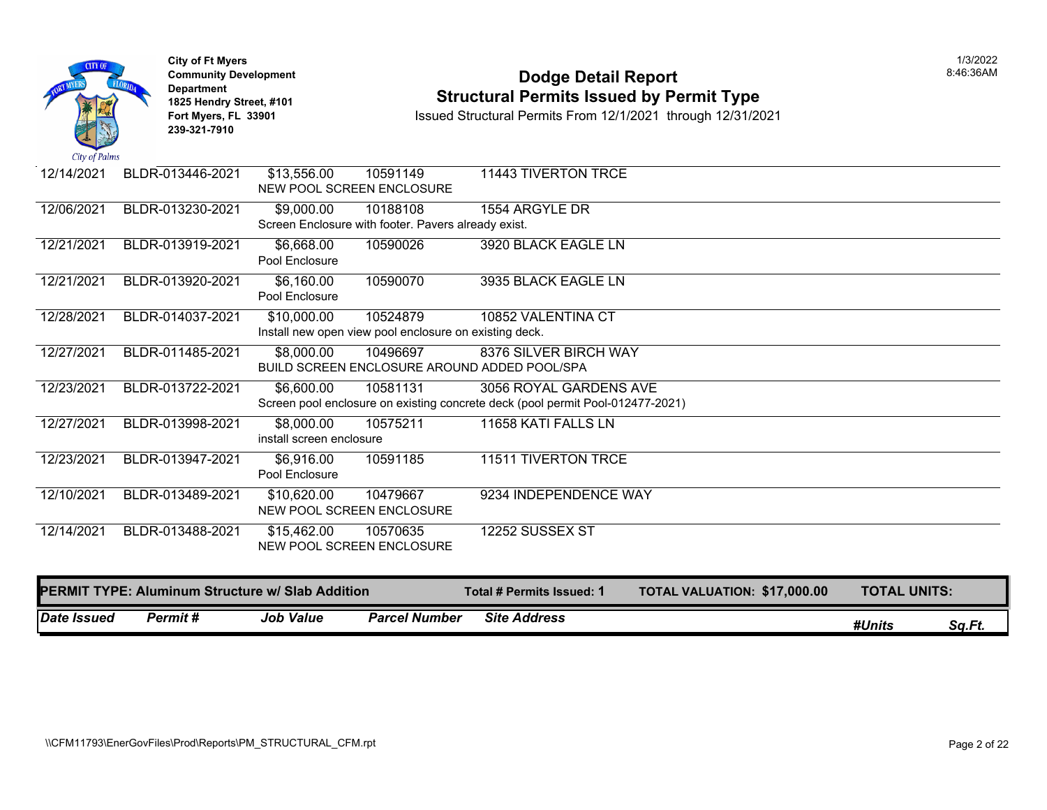

# **Community Development** 8:46:36AM **1825 Hendry Street, #101**<br>1825 Hendry Street, #101 **Structural Permits Issued by Permit Type**<br>12/1/2021 Fort Myers, FL 33901 **12/31/20**

**Issued Structural Permits From 12/1/2021 through 12/31/2021** 

| 12/14/2021 | BLDR-013446-2021                                        | \$13,556.00<br>10591149                                | 11443 TIVERTON TRCE                                                              |
|------------|---------------------------------------------------------|--------------------------------------------------------|----------------------------------------------------------------------------------|
|            |                                                         | NEW POOL SCREEN ENCLOSURE                              |                                                                                  |
| 12/06/2021 | BLDR-013230-2021                                        | \$9,000.00<br>10188108                                 | 1554 ARGYLE DR                                                                   |
|            |                                                         | Screen Enclosure with footer. Pavers already exist.    |                                                                                  |
| 12/21/2021 | BLDR-013919-2021                                        | \$6,668.00<br>10590026                                 | 3920 BLACK EAGLE LN                                                              |
|            |                                                         | Pool Enclosure                                         |                                                                                  |
| 12/21/2021 | BLDR-013920-2021                                        | \$6,160.00<br>10590070                                 | 3935 BLACK EAGLE LN                                                              |
|            |                                                         | Pool Enclosure                                         |                                                                                  |
| 12/28/2021 | BLDR-014037-2021                                        | \$10,000.00<br>10524879                                | 10852 VALENTINA CT                                                               |
|            |                                                         | Install new open view pool enclosure on existing deck. |                                                                                  |
| 12/27/2021 | BLDR-011485-2021                                        | \$8,000.00<br>10496697                                 | 8376 SILVER BIRCH WAY                                                            |
|            |                                                         | BUILD SCREEN ENCLOSURE AROUND ADDED POOL/SPA           |                                                                                  |
| 12/23/2021 | BLDR-013722-2021                                        | \$6,600.00<br>10581131                                 | 3056 ROYAL GARDENS AVE                                                           |
|            |                                                         |                                                        | Screen pool enclosure on existing concrete deck (pool permit Pool-012477-2021)   |
| 12/27/2021 | BLDR-013998-2021                                        | \$8,000.00<br>10575211                                 | 11658 KATI FALLS LN                                                              |
|            |                                                         | install screen enclosure                               |                                                                                  |
| 12/23/2021 | BLDR-013947-2021                                        | \$6,916.00<br>10591185                                 | 11511 TIVERTON TRCE                                                              |
|            |                                                         | Pool Enclosure                                         |                                                                                  |
| 12/10/2021 | BLDR-013489-2021                                        | \$10,620.00<br>10479667                                | 9234 INDEPENDENCE WAY                                                            |
|            |                                                         | NEW POOL SCREEN ENCLOSURE                              |                                                                                  |
| 12/14/2021 | BLDR-013488-2021                                        | \$15,462.00<br>10570635                                | 12252 SUSSEX ST                                                                  |
|            |                                                         | <b>NEW POOL SCREEN ENCLOSURE</b>                       |                                                                                  |
|            |                                                         |                                                        |                                                                                  |
|            | <b>PERMIT TYPE: Aluminum Structure w/ Slab Addition</b> |                                                        | <b>TOTAL UNITS:</b><br>TOTAL VALUATION: \$17,000.00<br>Total # Permits Issued: 1 |

*Date Issued Permit # Job Value Parcel Number Site Address #Units Sq.Ft.*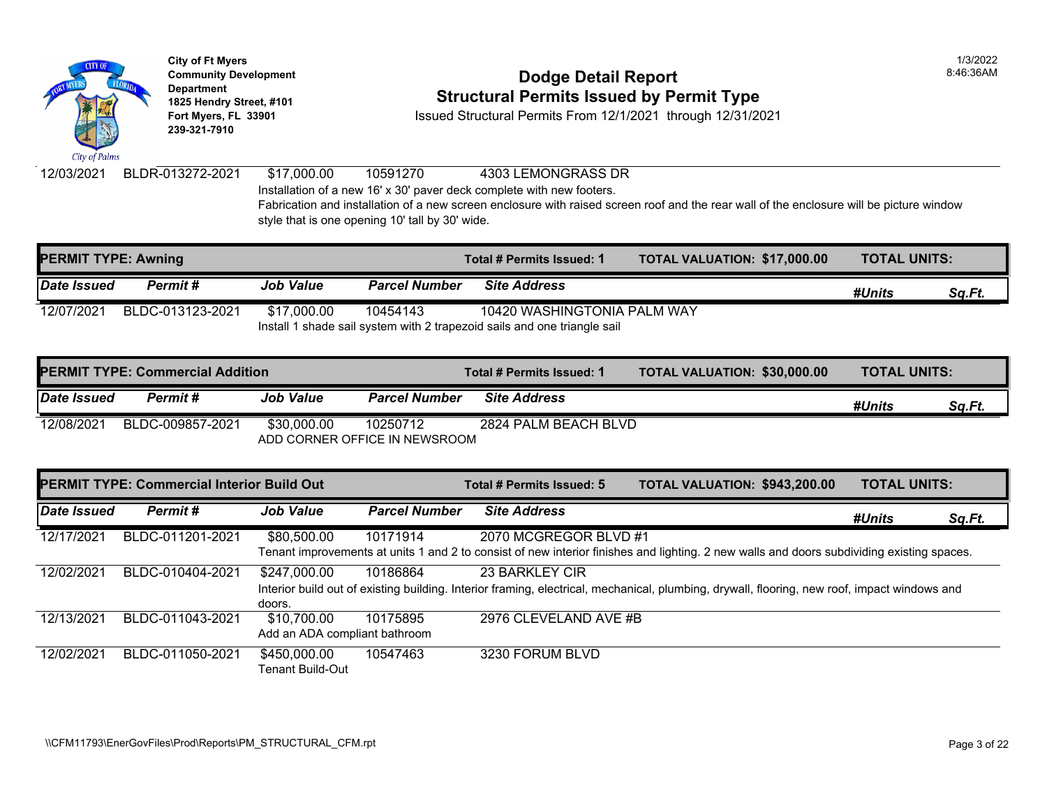

### **Community Development Community Development Community Development 1825 Hendry Street, #101**<br>1825 Hendry Street, #101 **Structural Permits Issued by Permit Type**<br>12/1/2021 through 12/31/20

**Fort Myers, FL 33901** Issued Structural Permits From 12/1/2021 through 12/31/2021

12/03/2021 BLDR-013272-2021 \$17,000.00 10591270 4303 LEMONGRASS DR Installation of a new 16' x 30' paver deck complete with new footers. Fabrication and installation of a new screen enclosure with raised screen roof and the rear wall of the end style that is one opening 10' tall by 30' wide.

| <b>PERMIT TYPE: Awning</b> |                  |                  |                                                                          | Total # Permits Issued: 1   | <b>TOTAL VALUATION: \$17,000</b> |  |  |  |
|----------------------------|------------------|------------------|--------------------------------------------------------------------------|-----------------------------|----------------------------------|--|--|--|
| Date Issued                | Permit #         | <b>Job Value</b> | <b>Parcel Number</b>                                                     | <b>Site Address</b>         |                                  |  |  |  |
| 12/07/2021                 | BLDC-013123-2021 | \$17.000.00      | 10454143                                                                 | 10420 WASHINGTONIA PALM WAY |                                  |  |  |  |
|                            |                  |                  | Install 1 shade sail system with 2 trapezoid sails and one triangle sail |                             |                                  |  |  |  |

|             | <b>IPERMIT TYPE: Commercial Addition</b> |                  | Total # Permits Issued: 1                 | <b>TOTAL VALUATION: \$30,000</b> |  |
|-------------|------------------------------------------|------------------|-------------------------------------------|----------------------------------|--|
| Date Issued | Permit #                                 | <b>Job Value</b> | <b>Parcel Number</b>                      | <b>Site Address</b>              |  |
| 12/08/2021  | BLDC-009857-2021                         | \$30,000.00      | 10250712<br>ADD CORNER OFFICE IN NEWSROOM | 2824 PALM BEACH BLVD             |  |

|                    | <b>PERMIT TYPE: Commercial Interior Build Out</b> |                               |                      | Total # Permits Issued: 5                                                                                         | <b>TOTAL VALUATION: \$943,20</b> |  |
|--------------------|---------------------------------------------------|-------------------------------|----------------------|-------------------------------------------------------------------------------------------------------------------|----------------------------------|--|
| <b>Date Issued</b> | Permit#                                           | <b>Job Value</b>              | <b>Parcel Number</b> | <b>Site Address</b>                                                                                               |                                  |  |
| 12/17/2021         | BLDC-011201-2021                                  | \$80,500.00                   | 10171914             | 2070 MCGREGOR BLVD #1                                                                                             |                                  |  |
|                    |                                                   |                               |                      | Tenant improvements at units 1 and 2 to consist of new interior finishes and lighting. 2 new walls and doc        |                                  |  |
| 12/02/2021         | BLDC-010404-2021                                  | \$247,000.00                  | 10186864             | 23 BARKLEY CIR                                                                                                    |                                  |  |
|                    |                                                   |                               |                      | Interior build out of existing building. Interior framing, electrical, mechanical, plumbing, drywall, flooring, n |                                  |  |
|                    |                                                   | doors.                        |                      |                                                                                                                   |                                  |  |
| 12/13/2021         | BLDC-011043-2021                                  | \$10,700.00                   | 10175895             | 2976 CLEVELAND AVE #B                                                                                             |                                  |  |
|                    |                                                   | Add an ADA compliant bathroom |                      |                                                                                                                   |                                  |  |
| 12/02/2021         | BLDC-011050-2021                                  | \$450,000.00                  | 10547463             | 3230 FORUM BLVD                                                                                                   |                                  |  |
|                    |                                                   | Tenant Build-Out              |                      |                                                                                                                   |                                  |  |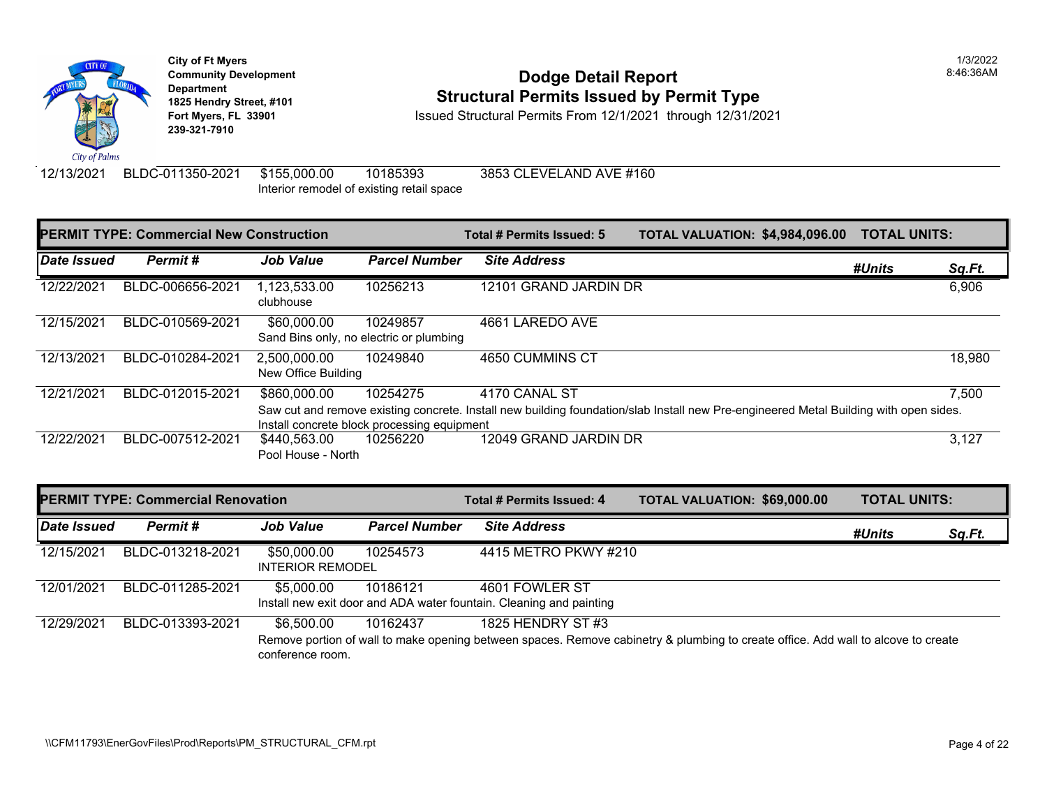

### **Community Development Community Development Community Development 1825 Hendry Street, #101**<br>1825 Hendry Street, #101 **Structural Permits Issued by Permit Type**<br>12/1/2021 through 12/31/20

**Fort Myers, FL 33901** Issued Structural Permits From 12/1/2021 through 12/31/2021

12/13/2021 BLDC-011350-2021 \$155,000.00 10185393 3853 CLEVELAND AVE #160 Interior remodel of existing retail space

|             | <b>PERMIT TYPE: Commercial New Construction</b> |                                     | Total # Permits Issued: 5                           | <b>TOTAL VALUATION: \$4,984,0</b>                                                                       |  |  |
|-------------|-------------------------------------------------|-------------------------------------|-----------------------------------------------------|---------------------------------------------------------------------------------------------------------|--|--|
| Date Issued | Permit#                                         | <b>Job Value</b>                    | <b>Parcel Number</b>                                | <b>Site Address</b>                                                                                     |  |  |
| 12/22/2021  | BLDC-006656-2021                                | 1,123,533.00<br>clubhouse           | 10256213                                            | 12101 GRAND JARDIN DR                                                                                   |  |  |
| 12/15/2021  | BLDC-010569-2021                                | \$60,000.00                         | 10249857<br>Sand Bins only, no electric or plumbing | 4661 LAREDO AVE                                                                                         |  |  |
| 12/13/2021  | BLDC-010284-2021                                | 2,500,000.00<br>New Office Building | 10249840                                            | 4650 CUMMINS CT                                                                                         |  |  |
| 12/21/2021  | BLDC-012015-2021                                | \$860,000.00                        | 10254275                                            | 4170 CANAL ST                                                                                           |  |  |
|             |                                                 |                                     |                                                     | Saw cut and remove existing concrete. Install new building foundation/slab Install new Pre-engineered M |  |  |
|             |                                                 |                                     | Install concrete block processing equipment         |                                                                                                         |  |  |
| 12/22/2021  | BLDC-007512-2021                                | \$440,563.00                        | 10256220                                            | 12049 GRAND JARDIN DR                                                                                   |  |  |
|             |                                                 | Pool House - North                  |                                                     |                                                                                                         |  |  |

|             | <b>PERMIT TYPE: Commercial Renovation</b> |                                        | Total # Permits Issued: 4 | <b>TOTAL VALUATION: \$69,000</b>                                                                                          |  |  |
|-------------|-------------------------------------------|----------------------------------------|---------------------------|---------------------------------------------------------------------------------------------------------------------------|--|--|
| Date Issued | Permit#                                   | <b>Job Value</b>                       | <b>Parcel Number</b>      | <b>Site Address</b>                                                                                                       |  |  |
| 12/15/2021  | BLDC-013218-2021                          | \$50,000.00<br><b>INTERIOR REMODEL</b> | 10254573                  | 4415 METRO PKWY #210                                                                                                      |  |  |
| 12/01/2021  | BLDC-011285-2021                          | \$5,000.00                             | 10186121                  | 4601 FOWLER ST<br>Install new exit door and ADA water fountain. Cleaning and painting                                     |  |  |
| 12/29/2021  | BLDC-013393-2021                          | \$6,500,00<br>conference room.         | 10162437                  | 1825 HENDRY ST #3<br>Remove portion of wall to make opening between spaces. Remove cabinetry & plumbing to create office. |  |  |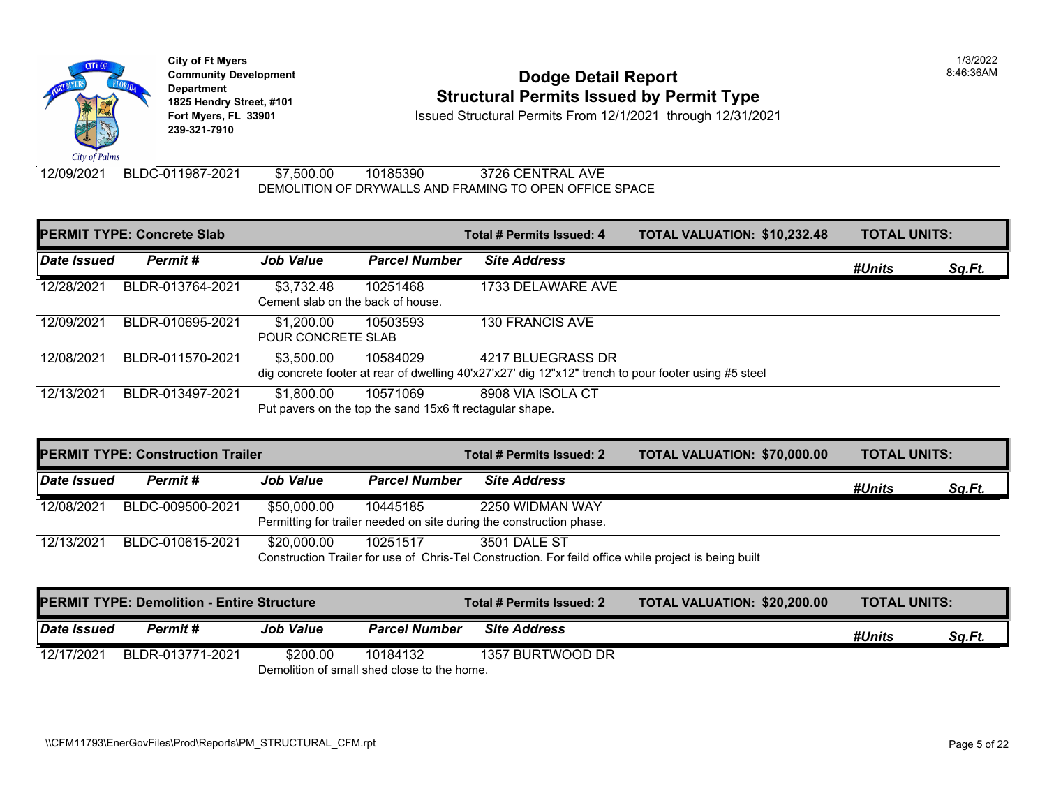

# **Community Development Community Development Community Development 1825 Hendry Street, #101**<br>1825 Hendry Street, #101 **Structural Permits Issued by Permit Type**<br>12/1/2021 through 12/31/20

**Fort Myers, FL 33901** Issued Structural Permits From 12/1/2021 through 12/31/2021

12/09/2021 BLDC-011987-2021 \$7,500.00 10185390 3726 CENTRAL AVE DEMOLITION OF DRYWALLS AND FRAMING TO OPEN OFFICE SPACE

| <b>PERMIT TYPE: Concrete Slab</b> |                  |                                                 |                                                                      | Total # Permits Issued: 4                                                                                                 | <b>TOTAL VALUATION: \$10,232</b> |
|-----------------------------------|------------------|-------------------------------------------------|----------------------------------------------------------------------|---------------------------------------------------------------------------------------------------------------------------|----------------------------------|
| Date Issued                       | Permit#          | <b>Job Value</b>                                | <b>Parcel Number</b>                                                 | <b>Site Address</b>                                                                                                       |                                  |
| 12/28/2021                        | BLDR-013764-2021 | \$3,732.48<br>Cement slab on the back of house. | 10251468                                                             | 1733 DELAWARE AVE                                                                                                         |                                  |
| 12/09/2021                        | BLDR-010695-2021 | \$1,200.00<br><b>POUR CONCRETE SLAB</b>         | 10503593                                                             | <b>130 FRANCIS AVE</b>                                                                                                    |                                  |
| 12/08/2021                        | BLDR-011570-2021 | \$3,500.00                                      | 10584029                                                             | 4217 BLUEGRASS DR<br>dig concrete footer at rear of dwelling 40'x27'x27' dig 12"x12" trench to pour footer using #5 steel |                                  |
| 12/13/2021                        | BLDR-013497-2021 | \$1,800.00                                      | 10571069<br>Put pavers on the top the sand 15x6 ft rectagular shape. | 8908 VIA ISOLA CT                                                                                                         |                                  |

|                                                                      | <b>PERMIT TYPE: Construction Trailer</b> |                  |                      | Total # Permits Issued: 2                                                                              | <b>TOTAL VALUATION: \$70,000</b> |  |  |  |
|----------------------------------------------------------------------|------------------------------------------|------------------|----------------------|--------------------------------------------------------------------------------------------------------|----------------------------------|--|--|--|
| Date Issued                                                          | Permit #                                 | <b>Job Value</b> | <b>Parcel Number</b> | <b>Site Address</b>                                                                                    |                                  |  |  |  |
| 12/08/2021                                                           | BLDC-009500-2021                         | \$50,000.00      | 10445185             | 2250 WIDMAN WAY                                                                                        |                                  |  |  |  |
| Permitting for trailer needed on site during the construction phase. |                                          |                  |                      |                                                                                                        |                                  |  |  |  |
| 12/13/2021                                                           | BLDC-010615-2021                         | \$20,000.00      | 10251517             | 3501 DALE ST                                                                                           |                                  |  |  |  |
|                                                                      |                                          |                  |                      | Construction Trailer for use of Chris-Tel Construction. For feild office while project is being built. |                                  |  |  |  |

| Construction Trailer for use of Chris-Tel Construction. For feild office while project is being built |
|-------------------------------------------------------------------------------------------------------|
|-------------------------------------------------------------------------------------------------------|

|             | <b>PERMIT TYPE: Demolition - Entire Structure</b> |                                             |                      | Total # Permits Issued: 2 | <b>TOTAL VALUATION: \$20,200</b> |
|-------------|---------------------------------------------------|---------------------------------------------|----------------------|---------------------------|----------------------------------|
| Date Issued | <b>Permit #</b>                                   | <b>Job Value</b>                            | <b>Parcel Number</b> | <b>Site Address</b>       |                                  |
| 12/17/2021  | BLDR-013771-2021                                  | \$200.00                                    | 10184132             | 1357 BURTWOOD DR          |                                  |
|             |                                                   | Demolition of small shed close to the home. |                      |                           |                                  |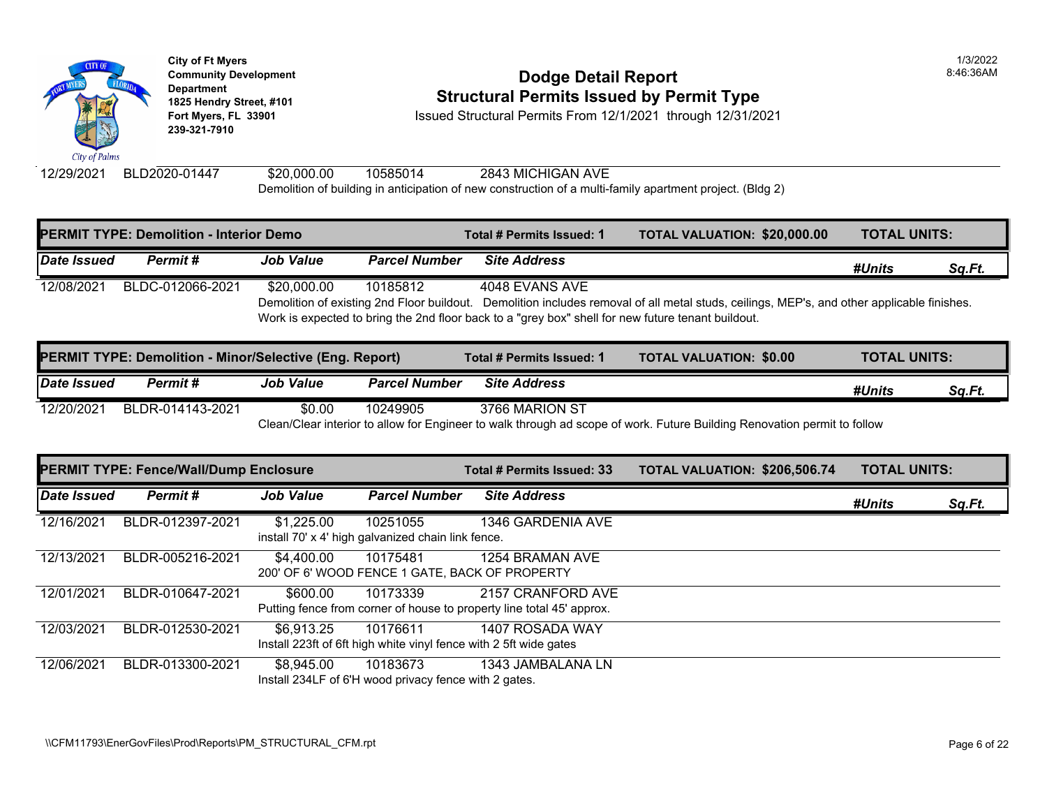

### **Community Development Community Development 1825 Hendry Street, #101 Structural Permits Issued by Permit Type**

**Fort Myers, FL 33901** Issued Structural Permits From 12/1/2021 through 12/31/2021

12/29/2021 BLD2020-01447 \$20,000.00 10585014 2843 MICHIGAN AVE Demolition of building in anticipation of new construction of a multi-family apartment project. (Bldg 2)

| <b>PERMIT TYPE: Demolition - Interior Demo</b> |                                                                |                  | Total # Permits Issued: 1 | <b>TOTAL VALUATION: \$20,000</b>                                                                                     |                                                                                                            |
|------------------------------------------------|----------------------------------------------------------------|------------------|---------------------------|----------------------------------------------------------------------------------------------------------------------|------------------------------------------------------------------------------------------------------------|
| Date Issued                                    | Permit #                                                       | <b>Job Value</b> | <b>Parcel Number</b>      | <b>Site Address</b>                                                                                                  |                                                                                                            |
| 12/08/2021                                     | BLDC-012066-2021                                               | \$20,000.00      | 10185812                  | 4048 EVANS AVE<br>Work is expected to bring the 2nd floor back to a "grey box" shell for new future tenant buildout. | Demolition of existing 2nd Floor buildout. Demolition includes removal of all metal studs, ceilings, MEP's |
|                                                | <b>PERMIT TYPE: Demolition - Minor/Selective (Eng. Report)</b> |                  |                           | Total # Permits Issued: 1                                                                                            | <b>TOTAL VALUATION: \$0.00</b>                                                                             |

|             |                  | $\mathbf{r}$ = $\mathbf{r}$ . $\mathbf{r}$ , $\mathbf{r}$ , $\mathbf{r}$ , $\mathbf{r}$ , $\mathbf{r}$ , $\mathbf{r}$ , $\mathbf{r}$ , $\mathbf{r}$ , $\mathbf{r}$ , $\mathbf{r}$ , $\mathbf{r}$ , $\mathbf{r}$ , $\mathbf{r}$ , $\mathbf{r}$ , $\mathbf{r}$ , $\mathbf{r}$ , $\mathbf{r}$ , $\mathbf{r}$ , |                      |                     |                                                                                                           |
|-------------|------------------|-------------------------------------------------------------------------------------------------------------------------------------------------------------------------------------------------------------------------------------------------------------------------------------------------------------|----------------------|---------------------|-----------------------------------------------------------------------------------------------------------|
| Date Issued | Permit #         | <b>Job Value</b>                                                                                                                                                                                                                                                                                            | <b>Parcel Number</b> | <b>Site Address</b> |                                                                                                           |
| 12/20/2021  | BLDR-014143-2021 | \$0.00                                                                                                                                                                                                                                                                                                      | 10249905             | 3766 MARION ST      |                                                                                                           |
|             |                  |                                                                                                                                                                                                                                                                                                             |                      |                     | Clean/Clear interior to allow for Engineer to walk through ad scope of work. Future Building Renovation p |

**PERMIT TYPE: Fence/Wall/Dump Enclosure Total # Permits Issued: 33 TOTAL VALUATION: \$206,506.74 TOTAL UNITS:**  *Date Issued Permit # Job Value Parcel Number Site Address* 12/16/2021 BLDR-012397-2021 \$1,225.00 10251055 1346 GARDENIA AVE install 70' x 4' high galvanized chain link fence. 12/13/2021 BLDR-005216-2021 \$4,400.00 10175481 1254 BRAMAN AVE 200' OF 6' WOOD FENCE 1 GATE, BACK OF PROPERTY 12/01/2021 BLDR-010647-2021 \$600.00 10173339 2157 CRANFORD AVE Putting fence from corner of house to property line total 45' approx. 12/03/2021 BLDR-012530-2021 \$6,913.25 10176611 1407 ROSADA WAY Install 223ft of 6ft high white vinyl fence with 2 5ft wide gates 12/06/2021 BLDR-013300-2021 \$8,945.00 10183673 1343 JAMBALANA LN Install 234LF of 6'H wood privacy fence with 2 gates.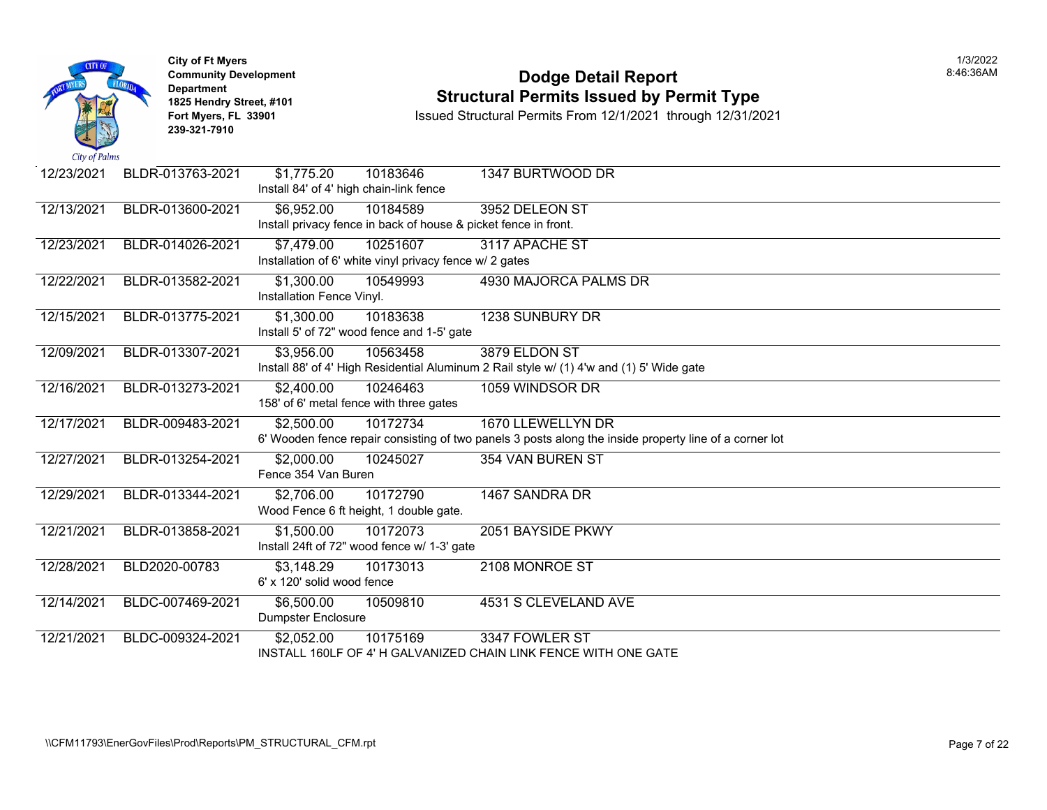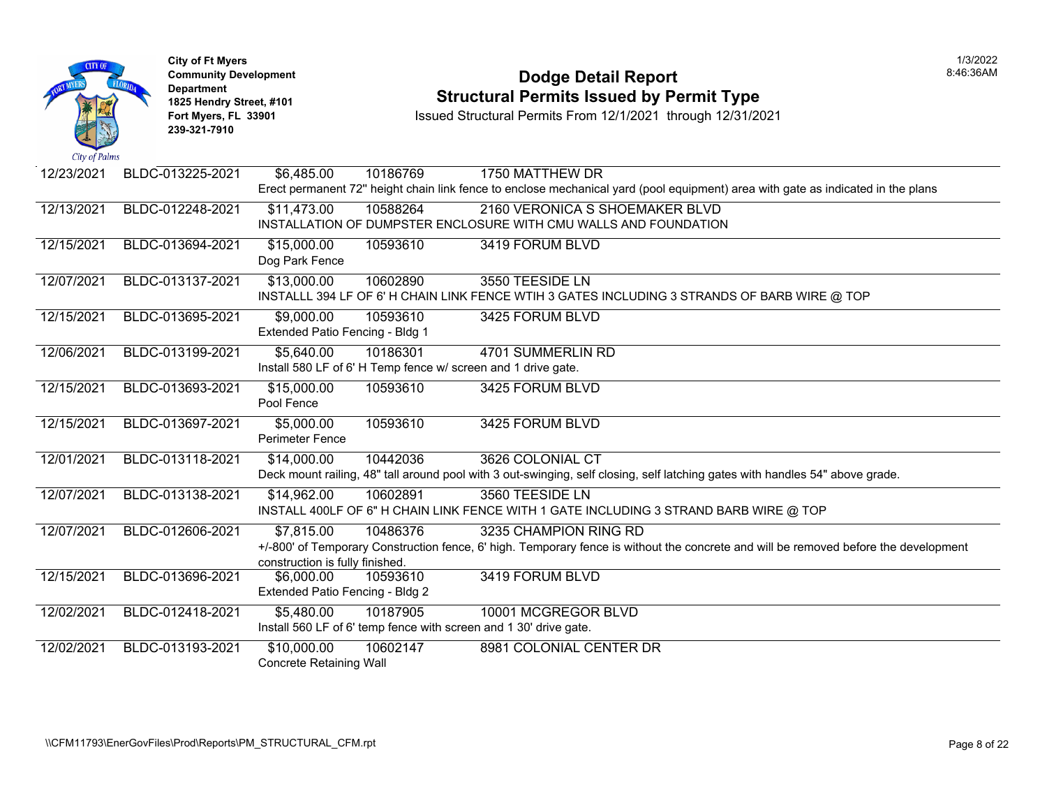

# City of Ft Myers<br> **Community Development**<br> **Bodge Detail Report 1825 Hendry Street, #101 1825 Hendry Street, #101 1825 Hendry Street, #101 Structural Permits Issued by Permit Type**<br> **1825 Hendry Street, #101 1850 Issued Structural Permits From 12/1/2021** through 12/31/20

| Cur of Fullity |                  |                                 |                                                               |                                                                                                              |
|----------------|------------------|---------------------------------|---------------------------------------------------------------|--------------------------------------------------------------------------------------------------------------|
| 12/23/2021     | BLDC-013225-2021 | \$6,485.00                      | 10186769                                                      | 1750 MATTHEW DR                                                                                              |
|                |                  |                                 |                                                               | Erect permanent 72" height chain link fence to enclose mechanical yard (pool equipment) area with gate       |
| 12/13/2021     | BLDC-012248-2021 | \$11,473.00                     | 10588264                                                      | 2160 VERONICA S SHOEMAKER BLVD                                                                               |
|                |                  |                                 |                                                               | INSTALLATION OF DUMPSTER ENCLOSURE WITH CMU WALLS AND FOUNDATION                                             |
| 12/15/2021     | BLDC-013694-2021 | \$15,000.00                     | 10593610                                                      | 3419 FORUM BLVD                                                                                              |
|                |                  | Dog Park Fence                  |                                                               |                                                                                                              |
| 12/07/2021     | BLDC-013137-2021 | \$13,000.00                     | 10602890                                                      | 3550 TEESIDE LN                                                                                              |
|                |                  |                                 |                                                               | INSTALLL 394 LF OF 6' H CHAIN LINK FENCE WTIH 3 GATES INCLUDING 3 STRANDS OF BARB WI                         |
| 12/15/2021     | BLDC-013695-2021 | \$9,000.00                      | 10593610                                                      | 3425 FORUM BLVD                                                                                              |
|                |                  | Extended Patio Fencing - Bldg 1 |                                                               |                                                                                                              |
| 12/06/2021     | BLDC-013199-2021 | \$5,640.00                      | 10186301                                                      | 4701 SUMMERLIN RD                                                                                            |
|                |                  |                                 | Install 580 LF of 6' H Temp fence w/ screen and 1 drive gate. |                                                                                                              |
| 12/15/2021     | BLDC-013693-2021 | \$15,000.00                     | 10593610                                                      | 3425 FORUM BLVD                                                                                              |
|                |                  | Pool Fence                      |                                                               |                                                                                                              |
| 12/15/2021     | BLDC-013697-2021 | \$5,000.00                      | 10593610                                                      | 3425 FORUM BLVD                                                                                              |
|                |                  | <b>Perimeter Fence</b>          |                                                               |                                                                                                              |
| 12/01/2021     | BLDC-013118-2021 | $\sqrt{$14,000.00}$             | 10442036                                                      | 3626 COLONIAL CT                                                                                             |
|                |                  |                                 |                                                               | Deck mount railing, 48" tall around pool with 3 out-swinging, self closing, self latching gates with handles |
| 12/07/2021     | BLDC-013138-2021 | \$14,962.00                     | 10602891                                                      | 3560 TEESIDE LN                                                                                              |
|                |                  |                                 |                                                               | INSTALL 400LF OF 6" H CHAIN LINK FENCE WITH 1 GATE INCLUDING 3 STRAND BARB WIRE @ T                          |
| 12/07/2021     | BLDC-012606-2021 | \$7,815.00                      | 10486376                                                      | 3235 CHAMPION RING RD                                                                                        |
|                |                  |                                 |                                                               | +/-800' of Temporary Construction fence, 6' high. Temporary fence is without the concrete and will be ren    |
|                |                  | construction is fully finished. |                                                               |                                                                                                              |
| 12/15/2021     | BLDC-013696-2021 | \$6,000.00                      | 10593610                                                      | 3419 FORUM BLVD                                                                                              |
|                |                  | Extended Patio Fencing - Bldg 2 |                                                               |                                                                                                              |
| 12/02/2021     | BLDC-012418-2021 | \$5,480.00                      | 10187905                                                      | 10001 MCGREGOR BLVD                                                                                          |
|                |                  |                                 |                                                               | Install 560 LF of 6' temp fence with screen and 1 30' drive gate.                                            |
| 12/02/2021     | BLDC-013193-2021 | \$10,000.00                     | 10602147                                                      | 8981 COLONIAL CENTER DR                                                                                      |
|                |                  | Concrete Retaining Wall         |                                                               |                                                                                                              |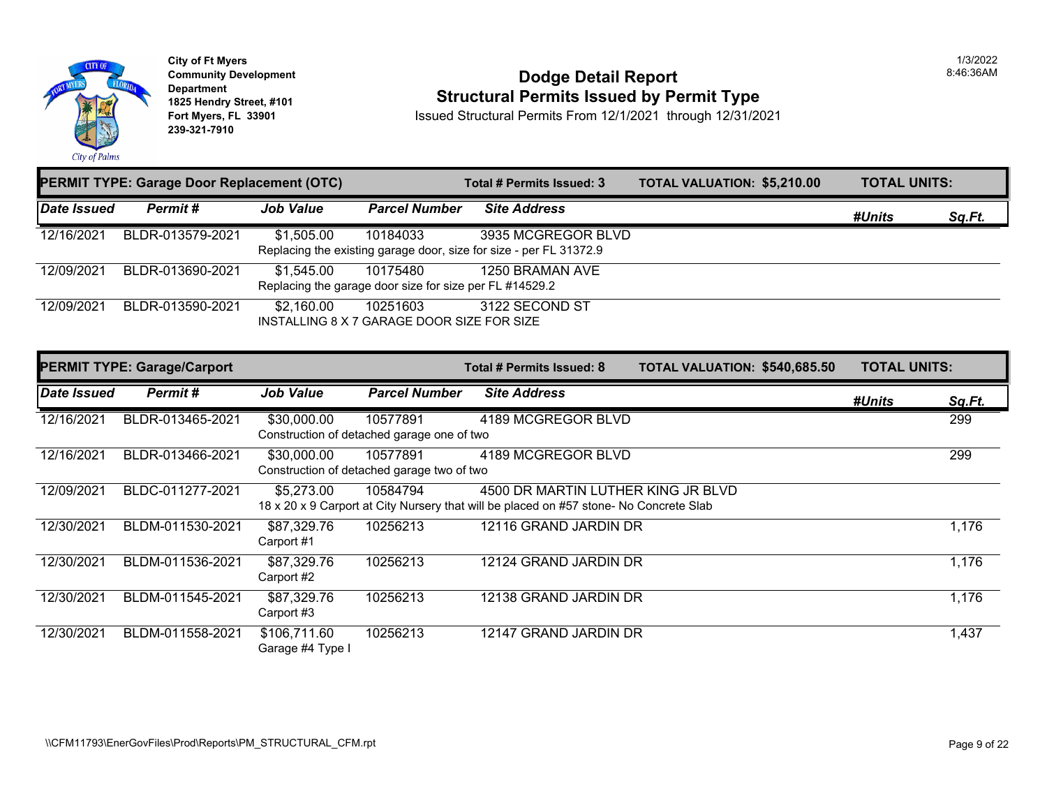

#### **Dodge Detail Report Structural Permits Issued by Permit Type**

Issued Structural Permits From 12/1/2021 through 12/31/2021

|                    | <b>PERMIT TYPE: Garage Door Replacement (OTC)</b> |                  |                                                                     | Total # Permits Issued: 3                                                                | <b>TOTAL VALUATION: \$5,210.00</b> | <b>TOTAL UNITS:</b> |        |
|--------------------|---------------------------------------------------|------------------|---------------------------------------------------------------------|------------------------------------------------------------------------------------------|------------------------------------|---------------------|--------|
| <b>Date Issued</b> | Permit#                                           | <b>Job Value</b> | <b>Parcel Number</b>                                                | <b>Site Address</b>                                                                      |                                    | #Units              | Sq.Ft. |
| 12/16/2021         | BLDR-013579-2021                                  | \$1,505.00       | 10184033                                                            | 3935 MCGREGOR BLVD<br>Replacing the existing garage door, size for size - per FL 31372.9 |                                    |                     |        |
| 12/09/2021         | BLDR-013690-2021                                  | \$1,545.00       | 10175480<br>Replacing the garage door size for size per FL #14529.2 | 1250 BRAMAN AVE                                                                          |                                    |                     |        |
| 12/09/2021         | BLDR-013590-2021                                  | \$2,160.00       | 10251603<br>INSTALLING 8 X 7 GARAGE DOOR SIZE FOR SIZE              | 3122 SECOND ST                                                                           |                                    |                     |        |
|                    | <b>PERMIT TYPE: Garage/Carport</b>                |                  |                                                                     | Total # Permits Issued: 8                                                                | TOTAL VALUATION: \$540,685.50      | <b>TOTAL UNITS:</b> |        |
| Date Issued        | Permit#                                           | <b>Job Value</b> | <b>Parcel Number</b>                                                | <b>Site Address</b>                                                                      |                                    | #Units              | Sq.Ft. |
| 12/16/2021         | BLDR-013465-2021                                  | \$30,000.00      | 10577891                                                            | 4189 MCGREGOR BLVD                                                                       |                                    |                     | 299    |
|                    |                                                   |                  | Construction of detached garage one of two                          |                                                                                          |                                    |                     |        |

|            |                  |                                  | Construction of detached garage two of two |                                                                                        |       |
|------------|------------------|----------------------------------|--------------------------------------------|----------------------------------------------------------------------------------------|-------|
| 12/09/2021 | BLDC-011277-2021 | \$5,273.00                       | 10584794                                   | 4500 DR MARTIN LUTHER KING JR BLVD                                                     |       |
|            |                  |                                  |                                            | 18 x 20 x 9 Carport at City Nursery that will be placed on #57 stone- No Concrete Slab |       |
| 12/30/2021 | BLDM-011530-2021 | \$87,329.76<br>Carport #1        | 10256213                                   | 12116 GRAND JARDIN DR                                                                  | 1,176 |
| 12/30/2021 | BLDM-011536-2021 | \$87,329.76<br>Carport #2        | 10256213                                   | 12124 GRAND JARDIN DR                                                                  | 1,176 |
| 12/30/2021 | BLDM-011545-2021 | \$87,329.76<br>Carport #3        | 10256213                                   | 12138 GRAND JARDIN DR                                                                  | 1,176 |
| 12/30/2021 | BLDM-011558-2021 | \$106,711.60<br>Garage #4 Type I | 10256213                                   | 12147 GRAND JARDIN DR                                                                  | 1,437 |

1/3/2022 8:46:36AM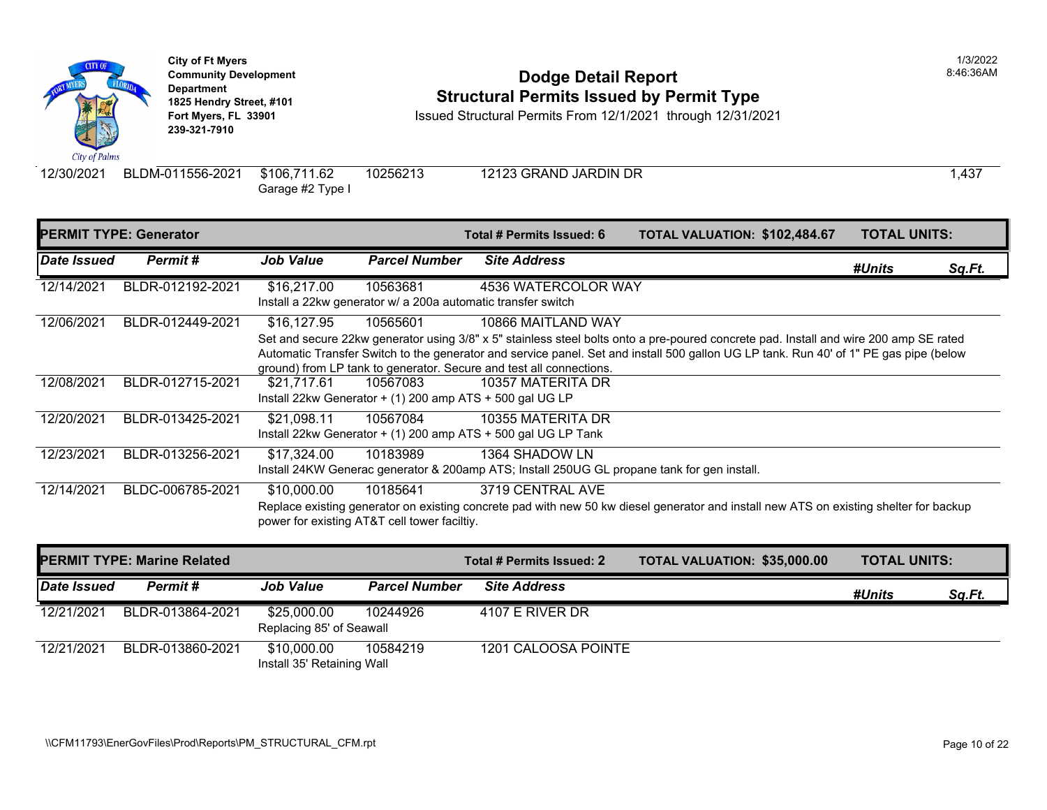

# **Community Development Community Development Community Development 1825 Hendry Street, #101**<br>1825 Hendry Street, #101 **Structural Permits Issued by Permit Type**<br>12/1/2021 through 12/31/20

**Fort Myers, FL 33901** Issued Structural Permits From 12/1/2021 through 12/31/2021

Garage #2 Type I

12/30/2021 BLDM-011556-2021 \$106,711.62 10256213 12123 GRAND JARDIN DR

| <b>PERMIT TYPE: Generator</b> |                  |                  |                                                                          | Total # Permits Issued: 6                                                                                                                                                                                                                                                                                          | <b>TOTAL VALUATION: \$102,48</b> |  |
|-------------------------------|------------------|------------------|--------------------------------------------------------------------------|--------------------------------------------------------------------------------------------------------------------------------------------------------------------------------------------------------------------------------------------------------------------------------------------------------------------|----------------------------------|--|
| <b>Date Issued</b>            | Permit#          | <b>Job Value</b> | <b>Parcel Number</b>                                                     | <b>Site Address</b>                                                                                                                                                                                                                                                                                                |                                  |  |
| 12/14/2021                    | BLDR-012192-2021 | \$16,217.00      | 10563681<br>Install a 22kw generator w/ a 200a automatic transfer switch | 4536 WATERCOLOR WAY                                                                                                                                                                                                                                                                                                |                                  |  |
| 12/06/2021                    | BLDR-012449-2021 | \$16,127.95      | 10565601                                                                 | 10866 MAITLAND WAY<br>Set and secure 22kw generator using 3/8" x 5" stainless steel bolts onto a pre-poured concrete pad. Insta<br>Automatic Transfer Switch to the generator and service panel. Set and install 500 gallon UG LP tank. Rul<br>ground) from LP tank to generator. Secure and test all connections. |                                  |  |
| 12/08/2021                    | BLDR-012715-2021 | \$21,717.61      | 10567083<br>Install 22kw Generator $+$ (1) 200 amp ATS $+$ 500 gal UG LP | 10357 MATERITA DR                                                                                                                                                                                                                                                                                                  |                                  |  |
| 12/20/2021                    | BLDR-013425-2021 | \$21,098.11      | 10567084                                                                 | 10355 MATERITA DR<br>Install 22kw Generator $+$ (1) 200 amp ATS $+$ 500 gal UG LP Tank                                                                                                                                                                                                                             |                                  |  |
| 12/23/2021                    | BLDR-013256-2021 | \$17,324.00      | 10183989                                                                 | 1364 SHADOW LN<br>Install 24KW Generac generator & 200amp ATS; Install 250UG GL propane tank for gen install.                                                                                                                                                                                                      |                                  |  |
| 12/14/2021                    | BLDC-006785-2021 | \$10,000.00      | 10185641<br>power for existing AT&T cell tower faciltiy.                 | 3719 CENTRAL AVE<br>Replace existing generator on existing concrete pad with new 50 kw diesel generator and install new ATS                                                                                                                                                                                        |                                  |  |

| <b>PERMIT TYPE: Marine Related</b> |                  |                                           |                      | Total # Permits Issued: 2 | <b>TOTAL VALUATION: \$35,000</b> |
|------------------------------------|------------------|-------------------------------------------|----------------------|---------------------------|----------------------------------|
| Date Issued                        | Permit #         | <b>Job Value</b>                          | <b>Parcel Number</b> | <b>Site Address</b>       |                                  |
| 12/21/2021                         | BLDR-013864-2021 | \$25,000.00<br>Replacing 85' of Seawall   | 10244926             | 4107 E RIVER DR           |                                  |
| 12/21/2021                         | BLDR-013860-2021 | \$10,000.00<br>Install 35' Retaining Wall | 10584219             | 1201 CALOOSA POINTE       |                                  |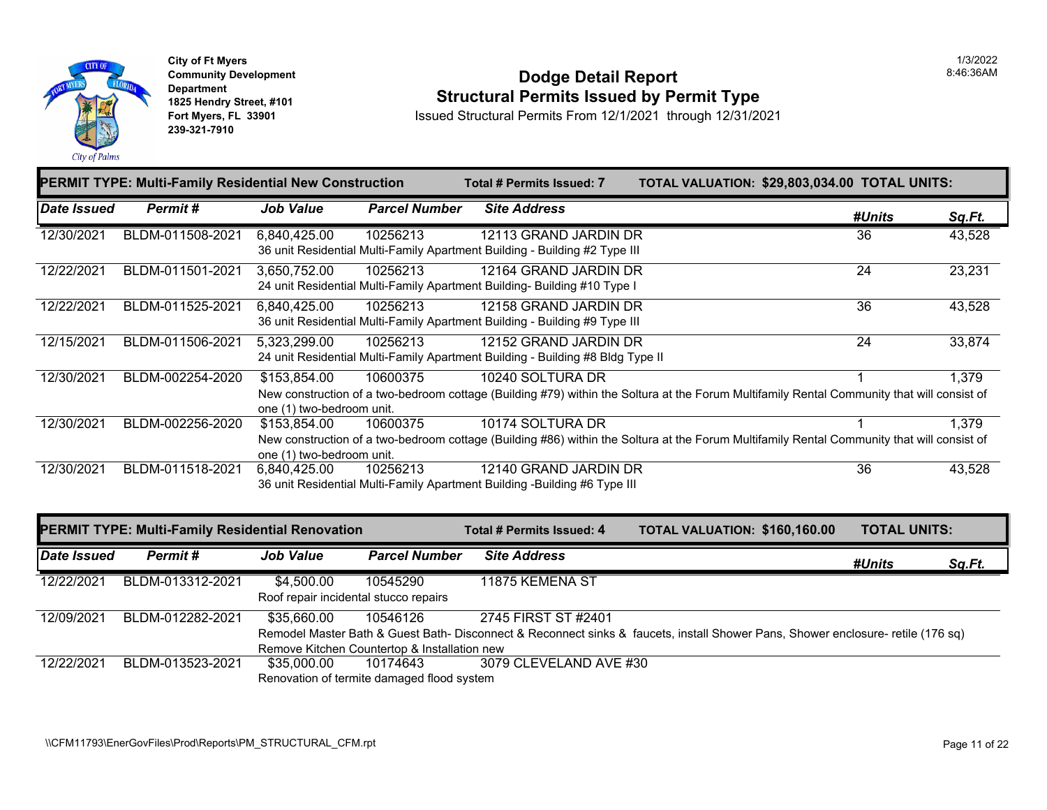

#### **Dodge Detail Report Structural Permits Issued by Permit Type**

Issued Structural Permits From 12/1/2021 through 12/31/2021

|             | PERMIT TYPE: Multi-Family Residential New Construction  |                                           |                      | Total # Permits Issued: 7                                                                               | TOTAL VALUATION: \$29,803,034.00 TOTAL UNITS:                                                                                              |                     |               |
|-------------|---------------------------------------------------------|-------------------------------------------|----------------------|---------------------------------------------------------------------------------------------------------|--------------------------------------------------------------------------------------------------------------------------------------------|---------------------|---------------|
| Date Issued | Permit#                                                 | <b>Job Value</b>                          | <b>Parcel Number</b> | <b>Site Address</b>                                                                                     |                                                                                                                                            | #Units              | <u>Sq.Ft.</u> |
| 12/30/2021  | BLDM-011508-2021                                        | 6,840,425.00                              | 10256213             | 12113 GRAND JARDIN DR<br>36 unit Residential Multi-Family Apartment Building - Building #2 Type III     |                                                                                                                                            | 36                  | 43,528        |
| 12/22/2021  | BLDM-011501-2021                                        | 3,650,752.00                              | 10256213             | 12164 GRAND JARDIN DR<br>24 unit Residential Multi-Family Apartment Building- Building #10 Type I       |                                                                                                                                            | $\overline{24}$     | 23,231        |
| 12/22/2021  | BLDM-011525-2021                                        | 6,840,425.00                              | 10256213             | 12158 GRAND JARDIN DR<br>36 unit Residential Multi-Family Apartment Building - Building #9 Type III     |                                                                                                                                            | $\overline{36}$     | 43,528        |
| 12/15/2021  | BLDM-011506-2021                                        | 5,323,299.00                              | 10256213             | 12152 GRAND JARDIN DR<br>24 unit Residential Multi-Family Apartment Building - Building #8 Bldg Type II |                                                                                                                                            | 24                  | 33,874        |
| 12/30/2021  | BLDM-002254-2020                                        | \$153,854.00<br>one (1) two-bedroom unit. | 10600375             | 10240 SOLTURA DR                                                                                        | New construction of a two-bedroom cottage (Building #79) within the Soltura at the Forum Multifamily Rental Community that will consist of |                     | 1,379         |
| 12/30/2021  | BLDM-002256-2020                                        | \$153,854.00<br>one (1) two-bedroom unit. | 10600375             | 10174 SOLTURA DR                                                                                        | New construction of a two-bedroom cottage (Building #86) within the Soltura at the Forum Multifamily Rental Community that will consist of | 1                   | 1,379         |
| 12/30/2021  | BLDM-011518-2021                                        | 6,840,425.00                              | 10256213             | 12140 GRAND JARDIN DR<br>36 unit Residential Multi-Family Apartment Building -Building #6 Type III      |                                                                                                                                            | 36                  | 43,528        |
|             | <b>PERMIT TYPE: Multi-Family Residential Renovation</b> |                                           |                      | <b>Total # Permits Issued: 4</b>                                                                        | TOTAL VALUATION: \$160,160.00                                                                                                              | <b>TOTAL UNITS:</b> |               |
| Date Issued | Permit#                                                 | <b>Job Value</b>                          | <b>Parcel Number</b> | <b>Site Address</b>                                                                                     |                                                                                                                                            | #Units              | Sq.Ft.        |
| 12/22/2021  | BLDM-013312-2021                                        | \$4,500.00                                | 10545290             | 11875 KEMENA ST                                                                                         |                                                                                                                                            |                     |               |

|            |                  | Roof repair incidental stucco repairs |                                              |                                                                                                                                 |
|------------|------------------|---------------------------------------|----------------------------------------------|---------------------------------------------------------------------------------------------------------------------------------|
| 12/09/2021 | BLDM-012282-2021 | \$35.660.00                           | 10546126                                     | 2745 FIRST ST #2401                                                                                                             |
|            |                  |                                       |                                              | Remodel Master Bath & Guest Bath-Disconnect & Reconnect sinks & faucets, install Shower Pans, Shower enclosure- retile (176 sq) |
|            |                  |                                       | Remove Kitchen Countertop & Installation new |                                                                                                                                 |
| 12/22/2021 | BLDM-013523-2021 | \$35.000.00                           | 10174643                                     | 3079 CLEVELAND AVE #30                                                                                                          |
|            |                  |                                       | Renovation of termite damaged flood system   |                                                                                                                                 |

1/3/2022 8:46:36AM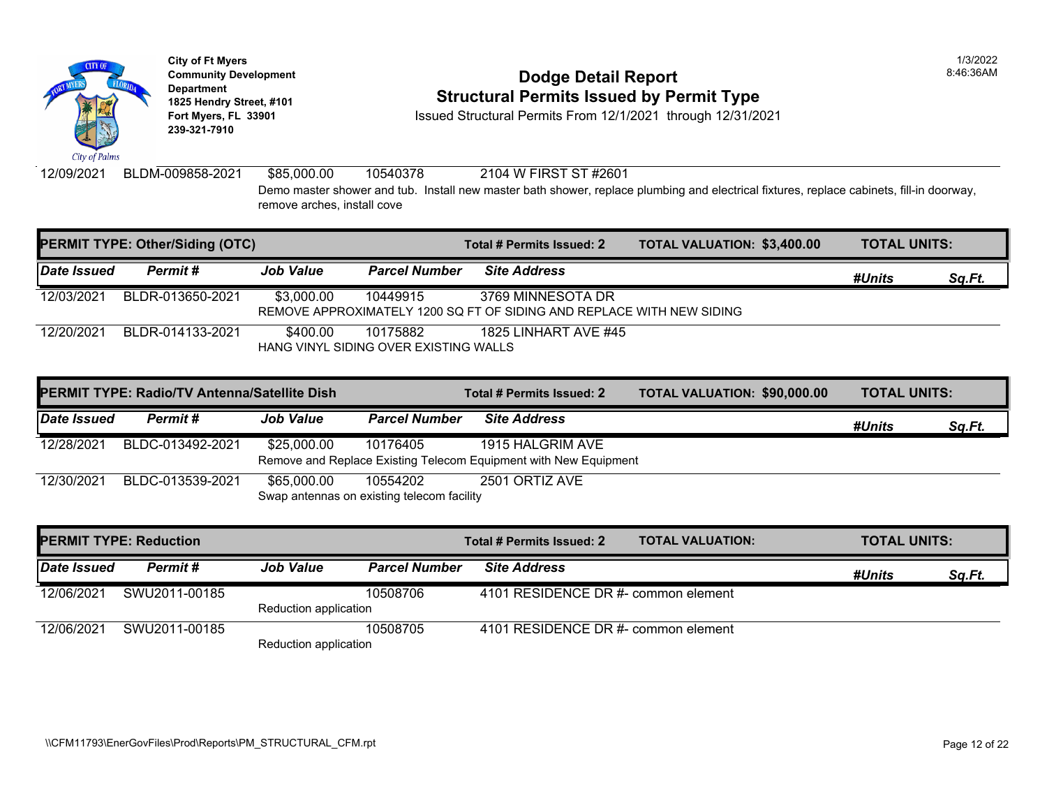

### **Community Development Community Development Community Development 1825 Hendry Street, #101**<br>1825 Hendry Street, #101 **Structural Permits Issued by Permit Type**<br>12/1/2021 through 12/31/20

**Fort Myers, FL 33901** Issued Structural Permits From 12/1/2021 through 12/31/2021

12/09/2021 BLDM-009858-2021 \$85,000.00 10540378 2104 W FIRST ST #2601 Demo master shower and tub. Install new master bath shower, replace plumbing and electrical fixtures, i remove arches, install cove

| <b>PERMIT TYPE: Other/Siding (OTC)</b> |                  |                  |                                                   | Total # Permits Issued: 2                                                                  | <b>TOTAL VALUATION: \$3,400.0</b> |  |
|----------------------------------------|------------------|------------------|---------------------------------------------------|--------------------------------------------------------------------------------------------|-----------------------------------|--|
| <b>Date Issued</b>                     | Permit #         | <b>Job Value</b> | <b>Parcel Number</b>                              | <b>Site Address</b>                                                                        |                                   |  |
| 12/03/2021                             | BLDR-013650-2021 | \$3,000.00       | 10449915                                          | 3769 MINNESOTA DR<br>REMOVE APPROXIMATELY 1200 SQ FT OF SIDING AND REPLACE WITH NEW SIDING |                                   |  |
| 12/20/2021                             | BLDR-014133-2021 | \$400.00         | 10175882<br>HANG VINYL SIDING OVER EXISTING WALLS | 1825 LINHART AVE #45                                                                       |                                   |  |

|             | <b>PERMIT TYPE: Radio/TV Antenna/Satellite Dish</b> |                                                           |                      | Total # Permits Issued: 2                                                            | <b>TOTAL VALUATION: \$90,000</b> |
|-------------|-----------------------------------------------------|-----------------------------------------------------------|----------------------|--------------------------------------------------------------------------------------|----------------------------------|
| Date Issued | Permit #                                            | <b>Job Value</b>                                          | <b>Parcel Number</b> | <b>Site Address</b>                                                                  |                                  |
| 12/28/2021  | BLDC-013492-2021                                    | \$25,000.00                                               | 10176405             | 1915 HALGRIM AVE<br>Remove and Replace Existing Telecom Equipment with New Equipment |                                  |
| 12/30/2021  | BLDC-013539-2021                                    | \$65,000.00<br>Swap antennas on existing telecom facility | 10554202             | 2501 ORTIZ AVE                                                                       |                                  |

| <b>PERMIT TYPE: Reduction</b> |               |                       |                      | Total # Permits Issued: 2           | <b>TOTAL VALUATION:</b> |
|-------------------------------|---------------|-----------------------|----------------------|-------------------------------------|-------------------------|
| Date Issued                   | Permit#       | <b>Job Value</b>      | <b>Parcel Number</b> | <b>Site Address</b>                 |                         |
| 12/06/2021                    | SWU2011-00185 |                       | 10508706             | 4101 RESIDENCE DR #- common element |                         |
|                               |               | Reduction application |                      |                                     |                         |
| 12/06/2021                    | SWU2011-00185 |                       | 10508705             | 4101 RESIDENCE DR #- common element |                         |
|                               |               | Reduction application |                      |                                     |                         |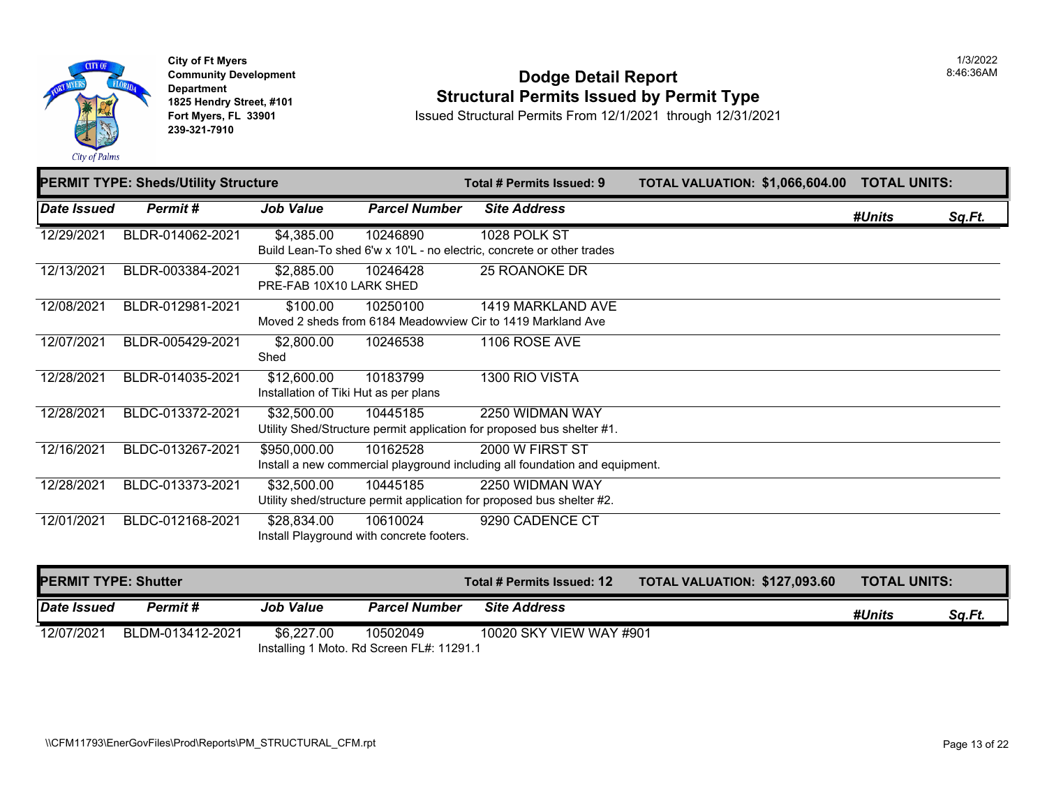

### **Dodge Detail Report Structural Permits Issued by Permit Type**

Issued Structural Permits From 12/1/2021 through 12/31/2021

|             | <b>PERMIT TYPE: Sheds/Utility Structure</b> |                                                      |                                                       | Total # Permits Issued: 9                                                                      | <b>TOTAL VALUATION: \$1,066,6</b> |
|-------------|---------------------------------------------|------------------------------------------------------|-------------------------------------------------------|------------------------------------------------------------------------------------------------|-----------------------------------|
| Date Issued | Permit#                                     | <b>Job Value</b>                                     | <b>Parcel Number</b>                                  | <b>Site Address</b>                                                                            |                                   |
| 12/29/2021  | BLDR-014062-2021                            | \$4,385.00                                           | 10246890                                              | 1028 POLK ST<br>Build Lean-To shed 6'w x 10'L - no electric, concrete or other trades          |                                   |
| 12/13/2021  | BLDR-003384-2021                            | \$2,885.00<br>PRE-FAB 10X10 LARK SHED                | 10246428                                              | 25 ROANOKE DR                                                                                  |                                   |
| 12/08/2021  | BLDR-012981-2021                            | \$100.00                                             | 10250100                                              | 1419 MARKLAND AVE<br>Moved 2 sheds from 6184 Meadowview Cir to 1419 Markland Ave               |                                   |
| 12/07/2021  | BLDR-005429-2021                            | \$2,800.00<br>Shed                                   | 10246538                                              | 1106 ROSE AVE                                                                                  |                                   |
| 12/28/2021  | BLDR-014035-2021                            | \$12,600.00<br>Installation of Tiki Hut as per plans | 10183799                                              | 1300 RIO VISTA                                                                                 |                                   |
| 12/28/2021  | BLDC-013372-2021                            | \$32,500.00                                          | 10445185                                              | 2250 WIDMAN WAY<br>Utility Shed/Structure permit application for proposed bus shelter #1.      |                                   |
| 12/16/2021  | BLDC-013267-2021                            | \$950,000.00                                         | 10162528                                              | 2000 W FIRST ST<br>Install a new commercial playground including all foundation and equipment. |                                   |
| 12/28/2021  | BLDC-013373-2021                            | \$32,500.00                                          | 10445185                                              | 2250 WIDMAN WAY<br>Utility shed/structure permit application for proposed bus shelter #2.      |                                   |
| 12/01/2021  | BLDC-012168-2021                            | \$28,834.00                                          | 10610024<br>Install Playground with concrete footers. | 9290 CADENCE CT                                                                                |                                   |

| <b>PERMIT TYPE: Shutter</b> |                                           |                  |                      | Total # Permits Issued: 12 | <b>TOTAL VALUATION: \$127,09</b> |  |
|-----------------------------|-------------------------------------------|------------------|----------------------|----------------------------|----------------------------------|--|
| Date Issued                 | Permit #                                  | <b>Job Value</b> | <b>Parcel Number</b> | <b>Site Address</b>        |                                  |  |
| 12/07/2021                  | BLDM-013412-2021                          | \$6.227.00       | 10502049             | 10020 SKY VIEW WAY #901    |                                  |  |
|                             | Installing 1 Moto. Rd Screen FL#: 11291.1 |                  |                      |                            |                                  |  |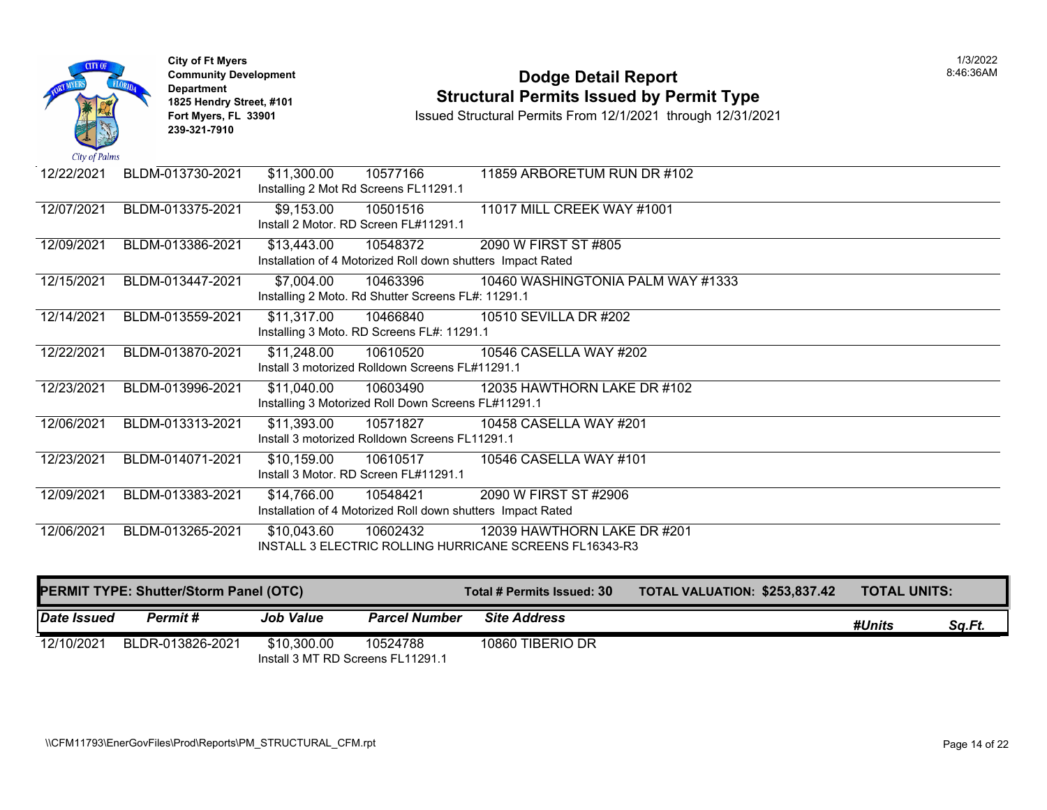| City of Palms | <b>City of Ft Myers</b><br><b>Community Development</b><br><b>Department</b><br>1825 Hendry Street, #101<br>Fort Myers, FL 33901<br>239-321-7910 |                                                                            |          | <b>Dodge Detail Report</b><br><b>Structural Permits Issued by Permit Type</b><br>Issued Structural Permits From 12/1/2021 through 12/31/2021 |
|---------------|--------------------------------------------------------------------------------------------------------------------------------------------------|----------------------------------------------------------------------------|----------|----------------------------------------------------------------------------------------------------------------------------------------------|
| 12/22/2021    | BLDM-013730-2021                                                                                                                                 | \$11,300.00<br>Installing 2 Mot Rd Screens FL11291.1                       | 10577166 | 11859 ARBORETUM RUN DR #102                                                                                                                  |
| 12/07/2021    | BLDM-013375-2021                                                                                                                                 | \$9,153.00<br>Install 2 Motor. RD Screen FL#11291.1                        | 10501516 | 11017 MILL CREEK WAY #1001                                                                                                                   |
| 12/09/2021    | BLDM-013386-2021                                                                                                                                 | \$13,443.00<br>Installation of 4 Motorized Roll down shutters Impact Rated | 10548372 | 2090 W FIRST ST #805                                                                                                                         |
| 12/15/2021    | BLDM-013447-2021                                                                                                                                 | \$7,004.00<br>Installing 2 Moto. Rd Shutter Screens FL#: 11291.1           | 10463396 | 10460 WASHINGTONIA PALM WAY #1333                                                                                                            |
| 12/14/2021    | BLDM-013559-2021                                                                                                                                 | \$11,317.00<br>Installing 3 Moto. RD Screens FL#: 11291.1                  | 10466840 | 10510 SEVILLA DR #202                                                                                                                        |
| 12/22/2021    | BLDM-013870-2021                                                                                                                                 | \$11,248.00<br>Install 3 motorized Rolldown Screens FL#11291.1             | 10610520 | 10546 CASELLA WAY #202                                                                                                                       |
| 12/23/2021    | BLDM-013996-2021                                                                                                                                 | \$11,040.00<br>Installing 3 Motorized Roll Down Screens FL#11291.1         | 10603490 | 12035 HAWTHORN LAKE DR #102                                                                                                                  |
| 12/06/2021    | BLDM-013313-2021                                                                                                                                 | \$11,393.00<br>Install 3 motorized Rolldown Screens FL11291.1              | 10571827 | 10458 CASELLA WAY #201                                                                                                                       |
| 12/23/2021    | BLDM-014071-2021                                                                                                                                 | \$10,159.00<br>Install 3 Motor. RD Screen FL#11291.1                       | 10610517 | 10546 CASELLA WAY #101                                                                                                                       |
| 12/09/2021    | BLDM-013383-2021                                                                                                                                 | \$14,766.00<br>Installation of 4 Motorized Roll down shutters Impact Rated | 10548421 | 2090 W FIRST ST #2906                                                                                                                        |
| 12/06/2021    | BLDM-013265-2021                                                                                                                                 | \$10,043.60                                                                | 10602432 | 12039 HAWTHORN LAKE DR #201<br>INSTALL 3 ELECTRIC ROLLING HURRICANE SCREENS FL16343-R3                                                       |

| PERMIT TYPE: Shutter/Storm Panel (OTC) |                  |                                                  |                      | Total # Permits Issued: 30 | <b>TOTAL VALUATION: \$253,83</b> |
|----------------------------------------|------------------|--------------------------------------------------|----------------------|----------------------------|----------------------------------|
| Date Issued                            | Permit#          | <b>Job Value</b>                                 | <b>Parcel Number</b> | <b>Site Address</b>        |                                  |
| 12/10/2021                             | BLDR-013826-2021 | \$10,300.00<br>Install 3 MT RD Screens FL11291.1 | 10524788             | 10860 TIBERIO DR           |                                  |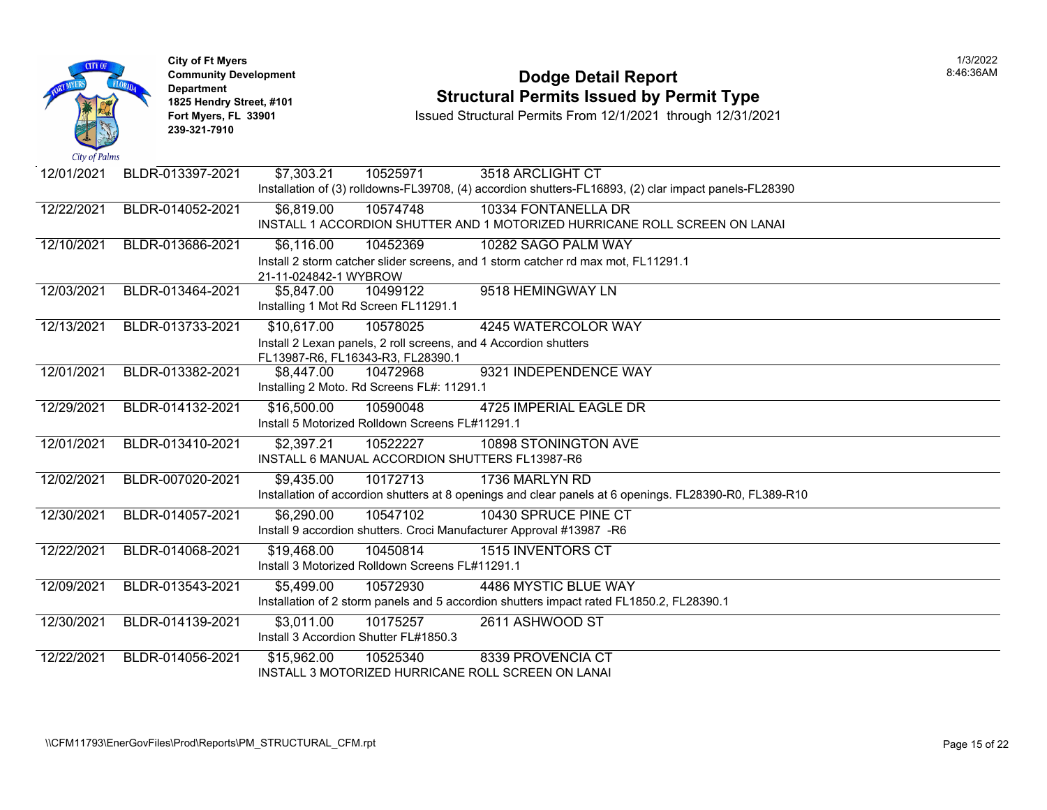| <b>CITY OF</b><br>City of Palms | <b>City of Ft Myers</b><br><b>Department</b><br>239-321-7910 | <b>Community Development</b><br>1825 Hendry Street, #101<br>Fort Myers, FL 33901 |                                                             | <b>Dodge Detail Report</b><br><b>Structural Permits Issued by Permit Type</b><br>Issued Structural Permits From 12/1/2021 through 12/31/2021 |  |
|---------------------------------|--------------------------------------------------------------|----------------------------------------------------------------------------------|-------------------------------------------------------------|----------------------------------------------------------------------------------------------------------------------------------------------|--|
| 12/01/2021                      | BLDR-013397-2021                                             | \$7,303.21                                                                       | 10525971                                                    | 3518 ARCLIGHT CT                                                                                                                             |  |
|                                 |                                                              |                                                                                  |                                                             | Installation of (3) rolldowns-FL39708, (4) accordion shutters-FL16893, (2) clar impact panels-FL28390                                        |  |
| 12/22/2021                      | BLDR-014052-2021                                             | \$6,819.00                                                                       | 10574748                                                    | 10334 FONTANELLA DR<br>INSTALL 1 ACCORDION SHUTTER AND 1 MOTORIZED HURRICANE ROLL SCREEN ON LANAI                                            |  |
| 12/10/2021                      | BLDR-013686-2021                                             | \$6,116.00                                                                       | 10452369                                                    | 10282 SAGO PALM WAY                                                                                                                          |  |
|                                 |                                                              | 21-11-024842-1 WYBROW                                                            |                                                             | Install 2 storm catcher slider screens, and 1 storm catcher rd max mot, FL11291.1                                                            |  |
| 12/03/2021                      | BLDR-013464-2021                                             | \$5,847.00                                                                       | 10499122<br>Installing 1 Mot Rd Screen FL11291.1            | 9518 HEMINGWAY LN                                                                                                                            |  |
| 12/13/2021                      | BLDR-013733-2021                                             | \$10,617.00                                                                      | 10578025                                                    | 4245 WATERCOLOR WAY                                                                                                                          |  |
|                                 |                                                              |                                                                                  | FL13987-R6, FL16343-R3, FL28390.1                           | Install 2 Lexan panels, 2 roll screens, and 4 Accordion shutters                                                                             |  |
| 12/01/2021                      | BLDR-013382-2021                                             | \$8,447.00                                                                       | 10472968<br>Installing 2 Moto. Rd Screens FL#: 11291.1      | 9321 INDEPENDENCE WAY                                                                                                                        |  |
| 12/29/2021                      | BLDR-014132-2021                                             | \$16,500.00                                                                      | 10590048<br>Install 5 Motorized Rolldown Screens FL#11291.1 | 4725 IMPERIAL EAGLE DR                                                                                                                       |  |
| 12/01/2021                      | BLDR-013410-2021                                             | \$2,397.21                                                                       | 10522227                                                    | 10898 STONINGTON AVE<br>INSTALL 6 MANUAL ACCORDION SHUTTERS FL13987-R6                                                                       |  |
| 12/02/2021                      | BLDR-007020-2021                                             | \$9,435.00                                                                       | 10172713                                                    | 1736 MARLYN RD                                                                                                                               |  |
|                                 |                                                              |                                                                                  |                                                             | Installation of accordion shutters at 8 openings and clear panels at 6 openings. FL28390-R0, FL389-R10                                       |  |
| 12/30/2021                      | BLDR-014057-2021                                             | \$6,290.00                                                                       | 10547102                                                    | 10430 SPRUCE PINE CT<br>Install 9 accordion shutters. Croci Manufacturer Approval #13987 -R6                                                 |  |
| 12/22/2021                      | BLDR-014068-2021                                             | \$19,468.00                                                                      | 10450814<br>Install 3 Motorized Rolldown Screens FL#11291.1 | <b>1515 INVENTORS CT</b>                                                                                                                     |  |
| 12/09/2021                      | BLDR-013543-2021                                             | \$5,499.00                                                                       | 10572930                                                    | 4486 MYSTIC BLUE WAY<br>Installation of 2 storm panels and 5 accordion shutters impact rated FL1850.2, FL28390.1                             |  |
| 12/30/2021                      | BLDR-014139-2021                                             | \$3,011.00                                                                       | 10175257                                                    | 2611 ASHWOOD ST                                                                                                                              |  |
|                                 |                                                              |                                                                                  | Install 3 Accordion Shutter FL#1850.3                       |                                                                                                                                              |  |
| 12/22/2021                      | BLDR-014056-2021                                             | \$15,962.00                                                                      | 10525340                                                    | 8339 PROVENCIA CT<br>INSTALL 3 MOTORIZED HURRICANE ROLL SCREEN ON LANAI                                                                      |  |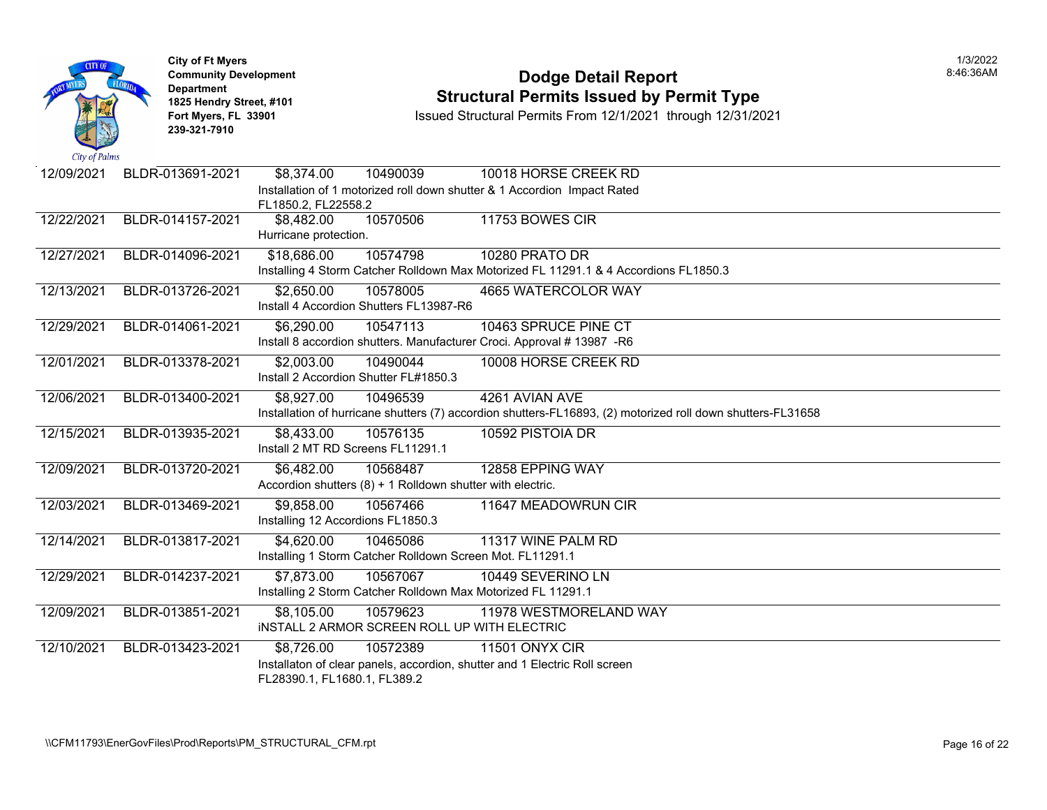

# **Community Development Dodge Detail Report** 8:46:36AM **1825 Hendry Street, #101**<br>1825 Hendry Street, #101 **Structural Permits Issued by Permit Type**<br>12/1/2021 Fort Myers, FL 33901 **12/31/20**

| 12/09/2021 | BLDR-013691-2021 | \$8,374.00                        | 10490039                                                   | 10018 HORSE CREEK RD                                                                                        |
|------------|------------------|-----------------------------------|------------------------------------------------------------|-------------------------------------------------------------------------------------------------------------|
|            |                  |                                   |                                                            | Installation of 1 motorized roll down shutter & 1 Accordion Impact Rated                                    |
|            |                  | FL1850.2, FL22558.2               |                                                            |                                                                                                             |
| 12/22/2021 | BLDR-014157-2021 | \$8,482.00                        | 10570506                                                   | 11753 BOWES CIR                                                                                             |
|            |                  | Hurricane protection.             |                                                            |                                                                                                             |
| 12/27/2021 | BLDR-014096-2021 | \$18,686.00                       | 10574798                                                   | 10280 PRATO DR                                                                                              |
|            |                  |                                   |                                                            | Installing 4 Storm Catcher Rolldown Max Motorized FL 11291.1 & 4 Accordions FL1850.3                        |
| 12/13/2021 | BLDR-013726-2021 | \$2,650.00                        | 10578005                                                   | 4665 WATERCOLOR WAY                                                                                         |
|            |                  |                                   | Install 4 Accordion Shutters FL13987-R6                    |                                                                                                             |
| 12/29/2021 | BLDR-014061-2021 | \$6,290.00                        | 10547113                                                   | 10463 SPRUCE PINE CT                                                                                        |
|            |                  |                                   |                                                            | Install 8 accordion shutters. Manufacturer Croci. Approval # 13987 -R6                                      |
| 12/01/2021 | BLDR-013378-2021 | \$2,003.00                        | 10490044                                                   | 10008 HORSE CREEK RD                                                                                        |
|            |                  |                                   | Install 2 Accordion Shutter FL#1850.3                      |                                                                                                             |
| 12/06/2021 | BLDR-013400-2021 | \$8,927.00                        | 10496539                                                   | 4261 AVIAN AVE                                                                                              |
|            |                  |                                   |                                                            | Installation of hurricane shutters (7) accordion shutters-FL16893, (2) motorized roll down shutters-FL31658 |
| 12/15/2021 | BLDR-013935-2021 | \$8,433.00                        | 10576135                                                   | 10592 PISTOIA DR                                                                                            |
|            |                  | Install 2 MT RD Screens FL11291.1 |                                                            |                                                                                                             |
| 12/09/2021 | BLDR-013720-2021 | \$6,482.00                        | 10568487                                                   | 12858 EPPING WAY                                                                                            |
|            |                  |                                   | Accordion shutters (8) + 1 Rolldown shutter with electric. |                                                                                                             |
| 12/03/2021 | BLDR-013469-2021 | \$9,858.00                        | 10567466                                                   | 11647 MEADOWRUN CIR                                                                                         |
|            |                  | Installing 12 Accordions FL1850.3 |                                                            |                                                                                                             |
| 12/14/2021 | BLDR-013817-2021 | \$4,620.00                        | 10465086                                                   | 11317 WINE PALM RD                                                                                          |
|            |                  |                                   | Installing 1 Storm Catcher Rolldown Screen Mot. FL11291.1  |                                                                                                             |
| 12/29/2021 | BLDR-014237-2021 | \$7,873.00                        | 10567067                                                   | 10449 SEVERINO LN                                                                                           |
|            |                  |                                   |                                                            | Installing 2 Storm Catcher Rolldown Max Motorized FL 11291.1                                                |
| 12/09/2021 | BLDR-013851-2021 | \$8,105.00                        | 10579623                                                   | 11978 WESTMORELAND WAY                                                                                      |
|            |                  |                                   | INSTALL 2 ARMOR SCREEN ROLL UP WITH ELECTRIC               |                                                                                                             |
| 12/10/2021 | BLDR-013423-2021 | \$8,726.00                        | 10572389                                                   | <b>11501 ONYX CIR</b>                                                                                       |
|            |                  |                                   |                                                            | Installaton of clear panels, accordion, shutter and 1 Electric Roll screen                                  |
|            |                  | FL28390.1, FL1680.1, FL389.2      |                                                            |                                                                                                             |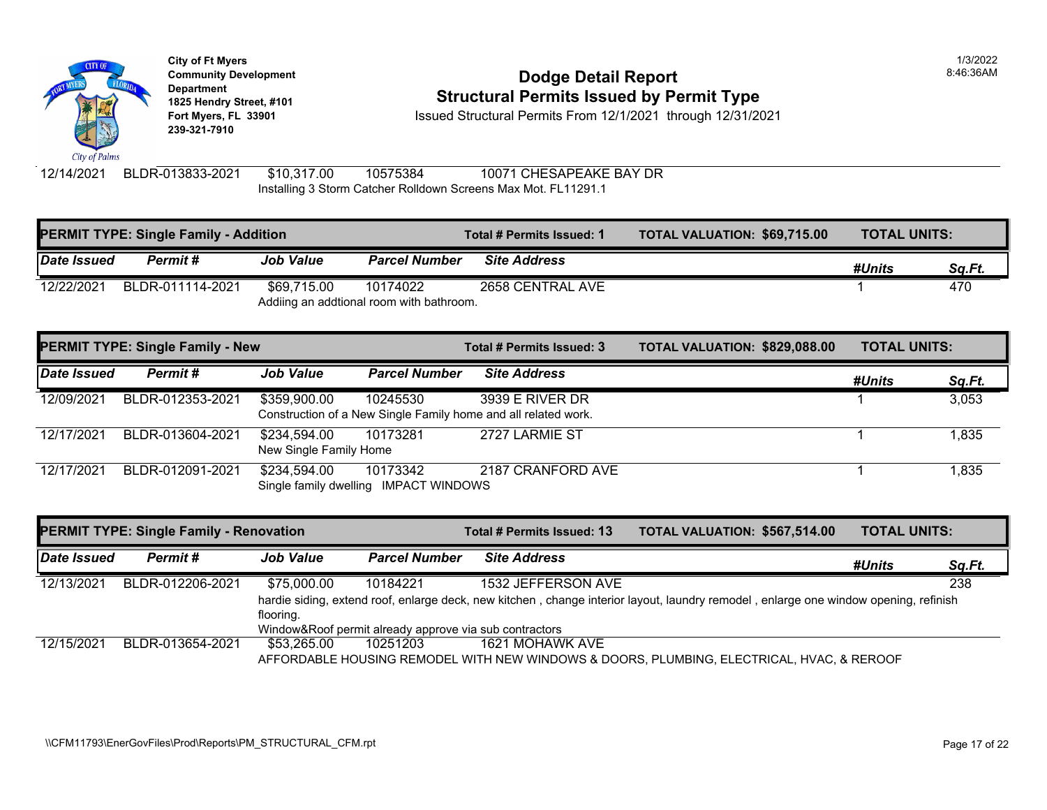

### **Community Development Community Development Community Development 1825 Hendry Street, #101**<br>1825 Hendry Street, #101 **Structural Permits Issued by Permit Type**<br>12/1/2021 through 12/31/20

**Fort Myers, FL 33901** Issued Structural Permits From 12/1/2021 through 12/31/2021

12/14/2021 BLDR-013833-2021 \$10,317.00 10575384 10071 CHESAPEAKE BAY DR Installing 3 Storm Catcher Rolldown Screens Max Mot. FL11291.1

| <b>PERMIT TYPE: Single Family - Addition</b> |                                         |                                        |                                                      | Total # Permits Issued: 1                                                         | <b>TOTAL VALUATION: \$69,715</b> |
|----------------------------------------------|-----------------------------------------|----------------------------------------|------------------------------------------------------|-----------------------------------------------------------------------------------|----------------------------------|
| <b>Date Issued</b>                           | Permit#                                 | <b>Job Value</b>                       | <b>Parcel Number</b>                                 | <b>Site Address</b>                                                               |                                  |
| 12/22/2021                                   | BLDR-011114-2021                        | \$69,715.00                            | 10174022<br>Addiing an addtional room with bathroom. | 2658 CENTRAL AVE                                                                  |                                  |
|                                              | <b>PERMIT TYPE: Single Family - New</b> |                                        |                                                      | Total # Permits Issued: 3                                                         | <b>TOTAL VALUATION: \$829,08</b> |
| Date Issued                                  | Permit#                                 | <b>Job Value</b>                       | <b>Parcel Number</b>                                 | <b>Site Address</b>                                                               |                                  |
| 12/09/2021                                   | BLDR-012353-2021                        | \$359,900.00                           | 10245530                                             | 3939 E RIVER DR<br>Construction of a New Single Family home and all related work. |                                  |
| 12/17/2021                                   | BLDR-013604-2021                        | \$234,594.00<br>New Single Family Home | 10173281                                             | 2727 LARMIE ST                                                                    |                                  |
| 12/17/2021                                   | BLDR-012091-2021                        | \$234,594.00                           | 10173342<br>Single family dwelling IMPACT WINDOWS    | 2187 CRANFORD AVE                                                                 |                                  |

|             | <b>PERMIT TYPE: Single Family - Renovation</b> |                                                        |                                                                                                            | Total # Permits Issued: 13                                                   | <b>TOTAL VALUATION: \$567,51</b> |  |  |
|-------------|------------------------------------------------|--------------------------------------------------------|------------------------------------------------------------------------------------------------------------|------------------------------------------------------------------------------|----------------------------------|--|--|
| Date Issued | Permit #                                       | <b>Job Value</b>                                       | <b>Parcel Number</b>                                                                                       | <b>Site Address</b>                                                          |                                  |  |  |
| 12/13/2021  | BLDR-012206-2021                               | \$75.000.00                                            | 10184221                                                                                                   | 1532 JEFFERSON AVE                                                           |                                  |  |  |
|             |                                                |                                                        | hardie siding, extend roof, enlarge deck, new kitchen, change interior layout, laundry remodel, enlarge of |                                                                              |                                  |  |  |
|             |                                                | flooring.                                              |                                                                                                            |                                                                              |                                  |  |  |
|             |                                                | Window&Roof permit already approve via sub contractors |                                                                                                            |                                                                              |                                  |  |  |
| 12/15/2021  | BLDR-013654-2021                               | \$53.265.00                                            | 10251203                                                                                                   | 1621 MOHAWK AVE                                                              |                                  |  |  |
|             |                                                |                                                        |                                                                                                            | AFFORDABLE HOUSING REMODEL WITH NEW WINDOWS & DOORS, PLUMBING, ELECTRICAL, H |                                  |  |  |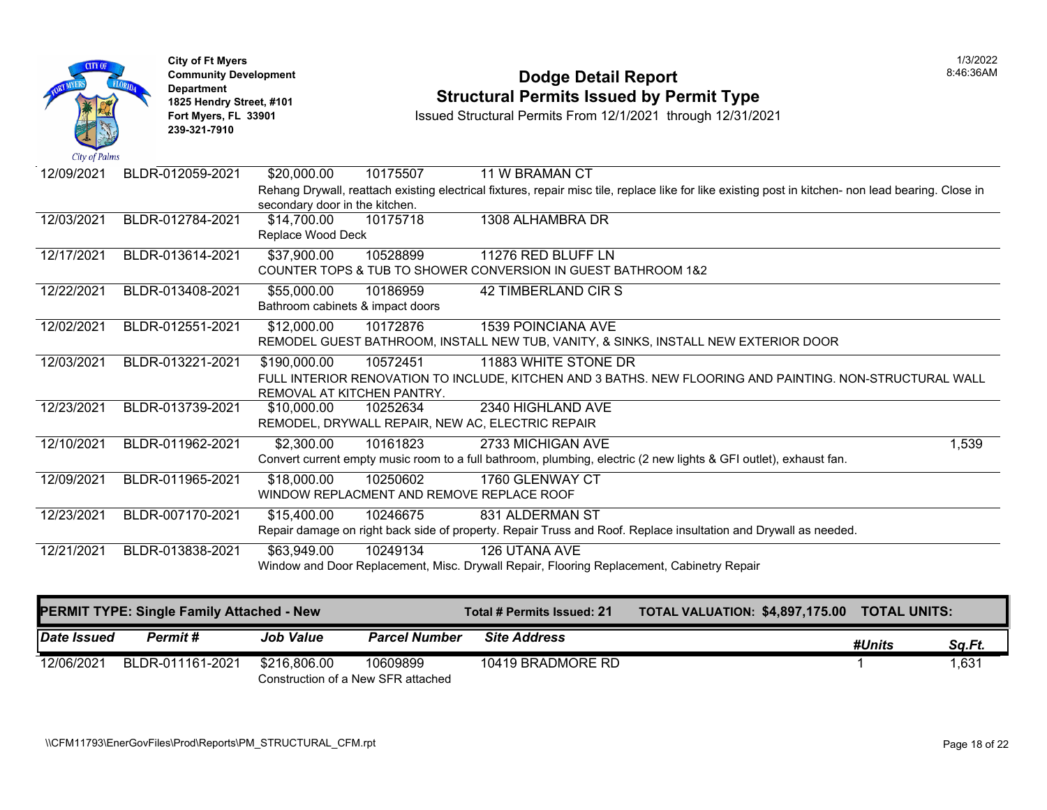

# **Community Development Dodge Detail Report** 8:46:36AM **1825 Hendry Street, #101**<br>1825 Hendry Street, #101 **Structural Permits Issued by Permit Type**<br>12/1/2021 Fort Myers, FL 33901 **12/31/20**

| 12/09/2021 | BLDR-012059-2021 | \$20,000.00<br>10175507                   | 11 W BRAMAN CT                                                                                                                                      |
|------------|------------------|-------------------------------------------|-----------------------------------------------------------------------------------------------------------------------------------------------------|
|            |                  |                                           | Rehang Drywall, reattach existing electrical fixtures, repair misc tile, replace like for like existing post in kitchen- non lead bearing. Close in |
|            |                  | secondary door in the kitchen.            |                                                                                                                                                     |
| 12/03/2021 | BLDR-012784-2021 | \$14,700.00<br>10175718                   | 1308 ALHAMBRA DR                                                                                                                                    |
|            |                  | Replace Wood Deck                         |                                                                                                                                                     |
| 12/17/2021 | BLDR-013614-2021 | \$37,900.00<br>10528899                   | 11276 RED BLUFF LN                                                                                                                                  |
|            |                  |                                           | COUNTER TOPS & TUB TO SHOWER CONVERSION IN GUEST BATHROOM 1&2                                                                                       |
| 12/22/2021 | BLDR-013408-2021 | \$55,000.00<br>10186959                   | 42 TIMBERLAND CIR S                                                                                                                                 |
|            |                  | Bathroom cabinets & impact doors          |                                                                                                                                                     |
| 12/02/2021 | BLDR-012551-2021 | \$12,000.00<br>10172876                   | <b>1539 POINCIANA AVE</b>                                                                                                                           |
|            |                  |                                           | REMODEL GUEST BATHROOM, INSTALL NEW TUB, VANITY, & SINKS, INSTALL NEW EXTERIOR DOOR                                                                 |
| 12/03/2021 | BLDR-013221-2021 | \$190,000.00<br>10572451                  | 11883 WHITE STONE DR                                                                                                                                |
|            |                  |                                           | FULL INTERIOR RENOVATION TO INCLUDE, KITCHEN AND 3 BATHS. NEW FLOORING AND PAINTING. NON-STRUCTURAL WALL                                            |
|            |                  | REMOVAL AT KITCHEN PANTRY.                |                                                                                                                                                     |
| 12/23/2021 | BLDR-013739-2021 | \$10,000.00<br>10252634                   | 2340 HIGHLAND AVE                                                                                                                                   |
|            |                  |                                           | REMODEL, DRYWALL REPAIR, NEW AC, ELECTRIC REPAIR                                                                                                    |
| 12/10/2021 | BLDR-011962-2021 | \$2,300.00<br>10161823                    | 2733 MICHIGAN AVE<br>1,539                                                                                                                          |
|            |                  |                                           | Convert current empty music room to a full bathroom, plumbing, electric (2 new lights & GFI outlet), exhaust fan.                                   |
| 12/09/2021 | BLDR-011965-2021 | \$18,000.00<br>10250602                   | 1760 GLENWAY CT                                                                                                                                     |
|            |                  | WINDOW REPLACMENT AND REMOVE REPLACE ROOF |                                                                                                                                                     |
| 12/23/2021 | BLDR-007170-2021 | \$15,400.00<br>10246675                   | 831 ALDERMAN ST                                                                                                                                     |
|            |                  |                                           | Repair damage on right back side of property. Repair Truss and Roof. Replace insultation and Drywall as needed.                                     |
| 12/21/2021 | BLDR-013838-2021 | \$63,949.00<br>10249134                   | 126 UTANA AVE                                                                                                                                       |
|            |                  |                                           | Window and Door Replacement, Misc. Drywall Repair, Flooring Replacement, Cabinetry Repair                                                           |
|            |                  |                                           |                                                                                                                                                     |
|            |                  |                                           |                                                                                                                                                     |

|             | PERMIT TYPE: Single Family Attached - New |                  |                                                | <b>Total # Permits Issued: 21 <math>\lambda</math></b> | TOTAL VALUATION: \$4,897,175.00 TOTAL UNITS: |        |        |
|-------------|-------------------------------------------|------------------|------------------------------------------------|--------------------------------------------------------|----------------------------------------------|--------|--------|
| Date Issued | <b>Permit #</b>                           | <b>Job Value</b> | <b>Parcel Number</b>                           | <b>Site Address</b>                                    |                                              | #Units | Sq.Ft. |
| 12/06/2021  | BLDR-011161-2021                          | \$216.806.00     | 10609899<br>Construction of a New SFR attached | 10419 BRADMORE RD                                      |                                              |        | 1,631  |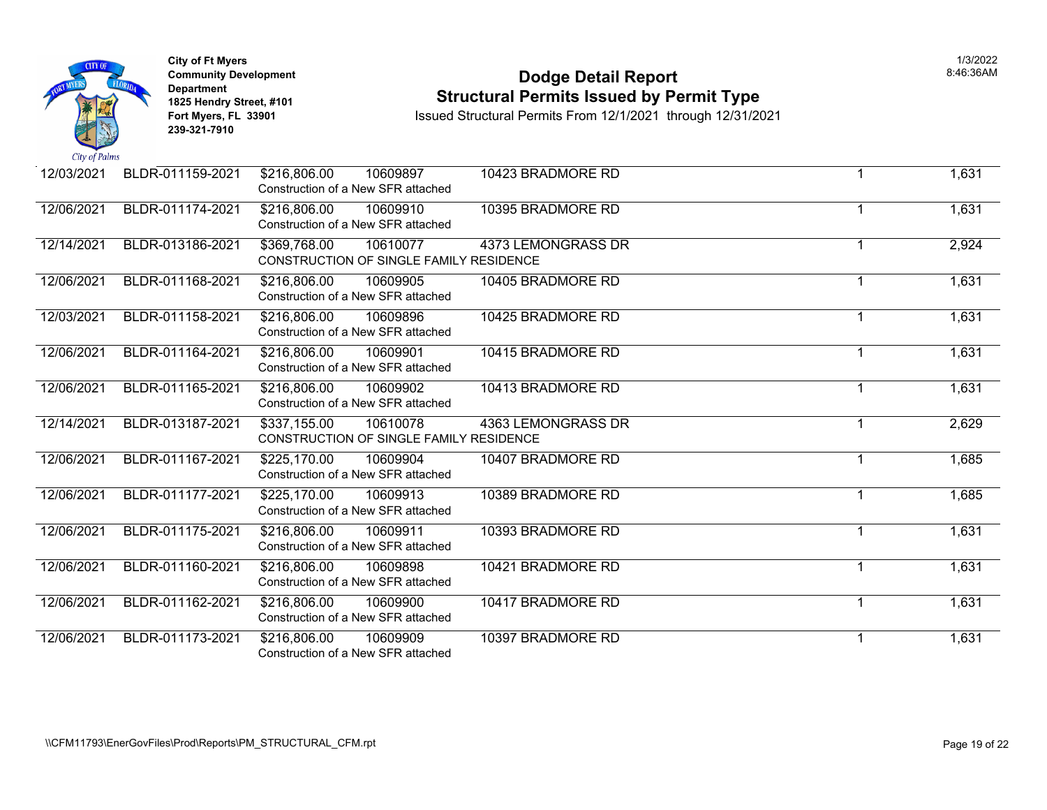

# **Community Development Dodge Detail Report** 8:46:36AM **1825 Hendry Street, #101**<br>1825 Hendry Street, #101 **Structural Permits Issued by Permit Type**<br>12/1/2021 Fort Myers, FL 33901 **12/31/20**

| 12/03/2021 | BLDR-011159-2021 | \$216,806.00<br>10609897<br>Construction of a New SFR attached      | 10423 BRADMORE RD  |    | 1,631 |
|------------|------------------|---------------------------------------------------------------------|--------------------|----|-------|
| 12/06/2021 | BLDR-011174-2021 | \$216,806.00<br>10609910<br>Construction of a New SFR attached      | 10395 BRADMORE RD  |    | 1,631 |
| 12/14/2021 | BLDR-013186-2021 | \$369,768.00<br>10610077<br>CONSTRUCTION OF SINGLE FAMILY RESIDENCE | 4373 LEMONGRASS DR |    | 2,924 |
| 12/06/2021 | BLDR-011168-2021 | \$216,806.00<br>10609905<br>Construction of a New SFR attached      | 10405 BRADMORE RD  |    | 1,631 |
| 12/03/2021 | BLDR-011158-2021 | \$216,806.00<br>10609896<br>Construction of a New SFR attached      | 10425 BRADMORE RD  |    | 1,631 |
| 12/06/2021 | BLDR-011164-2021 | \$216,806.00<br>10609901<br>Construction of a New SFR attached      | 10415 BRADMORE RD  | -1 | 1,631 |
| 12/06/2021 | BLDR-011165-2021 | \$216,806.00<br>10609902<br>Construction of a New SFR attached      | 10413 BRADMORE RD  |    | 1,631 |
| 12/14/2021 | BLDR-013187-2021 | \$337,155.00<br>10610078<br>CONSTRUCTION OF SINGLE FAMILY RESIDENCE | 4363 LEMONGRASS DR |    | 2,629 |
| 12/06/2021 | BLDR-011167-2021 | \$225,170.00<br>10609904<br>Construction of a New SFR attached      | 10407 BRADMORE RD  | -1 | 1,685 |
| 12/06/2021 | BLDR-011177-2021 | \$225,170.00<br>10609913<br>Construction of a New SFR attached      | 10389 BRADMORE RD  |    | 1,685 |
| 12/06/2021 | BLDR-011175-2021 | \$216,806.00<br>10609911<br>Construction of a New SFR attached      | 10393 BRADMORE RD  | -1 | 1,631 |
| 12/06/2021 | BLDR-011160-2021 | \$216,806.00<br>10609898<br>Construction of a New SFR attached      | 10421 BRADMORE RD  |    | 1,631 |
| 12/06/2021 | BLDR-011162-2021 | \$216,806.00<br>10609900<br>Construction of a New SFR attached      | 10417 BRADMORE RD  |    | 1,631 |
| 12/06/2021 | BLDR-011173-2021 | \$216,806.00<br>10609909<br>Construction of a New SFR attached      | 10397 BRADMORE RD  |    | 1,631 |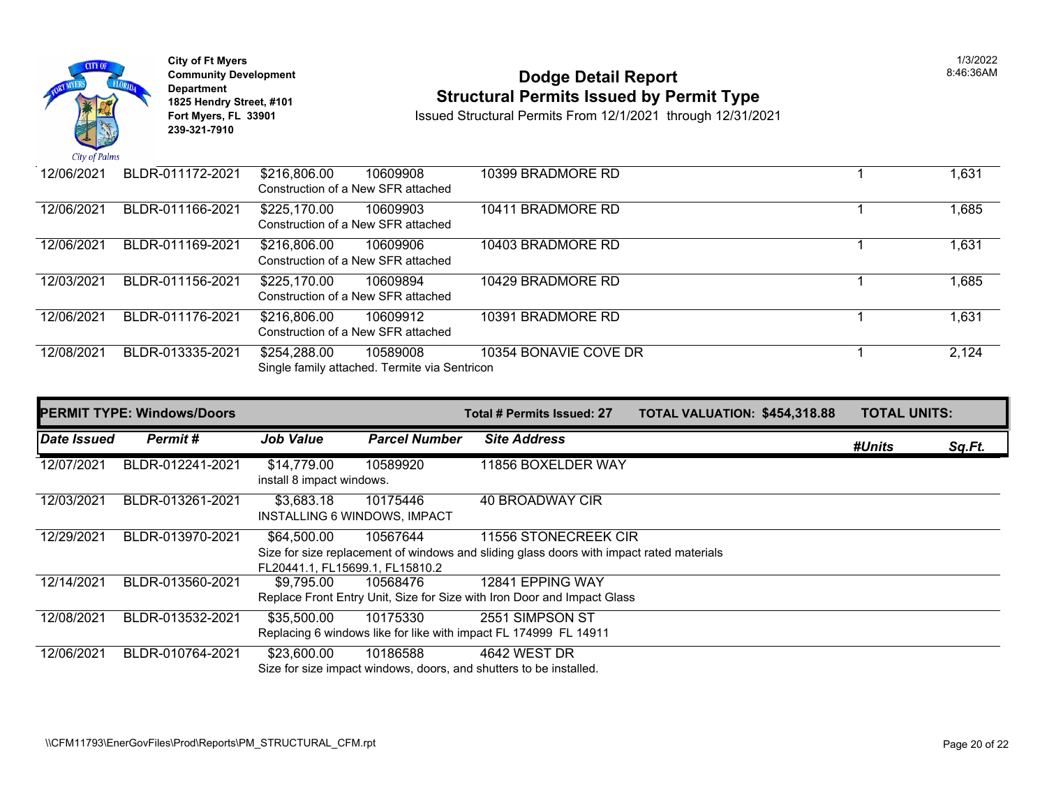

# **Community Development Community Development Community Development 1825 Hendry Street, #101 1825 Hendry Street, #101 1825 Hendry Street, #101 Structural Permits Issued by Permit Type**<br> **1825 Hendry Street, #101 1850 Issued Structural Permits From 12/1/2021** through 12/31/20

| 12/06/2021 | BLDR-011172-2021 | \$216,806.00<br>10609908<br>Construction of a New SFR attached            | 10399 BRADMORE RD     |  |
|------------|------------------|---------------------------------------------------------------------------|-----------------------|--|
| 12/06/2021 | BLDR-011166-2021 | \$225,170.00<br>10609903<br>Construction of a New SFR attached            | 10411 BRADMORE RD     |  |
| 12/06/2021 | BLDR-011169-2021 | \$216,806.00<br>10609906<br>Construction of a New SFR attached            | 10403 BRADMORE RD     |  |
| 12/03/2021 | BLDR-011156-2021 | \$225,170.00<br>10609894<br>Construction of a New SFR attached            | 10429 BRADMORE RD     |  |
| 12/06/2021 | BLDR-011176-2021 | \$216,806.00<br>10609912<br>Construction of a New SFR attached            | 10391 BRADMORE RD     |  |
| 12/08/2021 | BLDR-013335-2021 | \$254,288.00<br>10589008<br>Single family attached. Termite via Sentricon | 10354 BONAVIE COVE DR |  |

|             | <b>PERMIT TYPE: Windows/Doors</b> |                                                   |                      | Total # Permits Issued: 27                                                               | <b>TOTAL VALUATION: \$454,31</b> |  |
|-------------|-----------------------------------|---------------------------------------------------|----------------------|------------------------------------------------------------------------------------------|----------------------------------|--|
| Date Issued | Permit #                          | <b>Job Value</b>                                  | <b>Parcel Number</b> | <b>Site Address</b>                                                                      |                                  |  |
| 12/07/2021  | BLDR-012241-2021                  | \$14,779.00<br>install 8 impact windows.          | 10589920             | 11856 BOXELDER WAY                                                                       |                                  |  |
| 12/03/2021  | BLDR-013261-2021                  | \$3,683.18<br><b>INSTALLING 6 WINDOWS, IMPACT</b> | 10175446             | 40 BROADWAY CIR                                                                          |                                  |  |
| 12/29/2021  | BLDR-013970-2021                  | \$64,500.00                                       | 10567644             | 11556 STONECREEK CIR                                                                     |                                  |  |
|             |                                   | FL20441.1, FL15699.1, FL15810.2                   |                      | Size for size replacement of windows and sliding glass doors with impact rated materials |                                  |  |
| 12/14/2021  | BLDR-013560-2021                  | \$9,795.00                                        | 10568476             | 12841 EPPING WAY                                                                         |                                  |  |
|             |                                   |                                                   |                      | Replace Front Entry Unit, Size for Size with Iron Door and Impact Glass                  |                                  |  |
| 12/08/2021  | BLDR-013532-2021                  | \$35,500.00                                       | 10175330             | 2551 SIMPSON ST                                                                          |                                  |  |
|             |                                   |                                                   |                      | Replacing 6 windows like for like with impact FL 174999 FL 14911                         |                                  |  |
| 12/06/2021  | BLDR-010764-2021                  | \$23,600.00                                       | 10186588             | 4642 WEST DR                                                                             |                                  |  |
|             |                                   |                                                   |                      | Size for size impact windows, doors, and shutters to be installed.                       |                                  |  |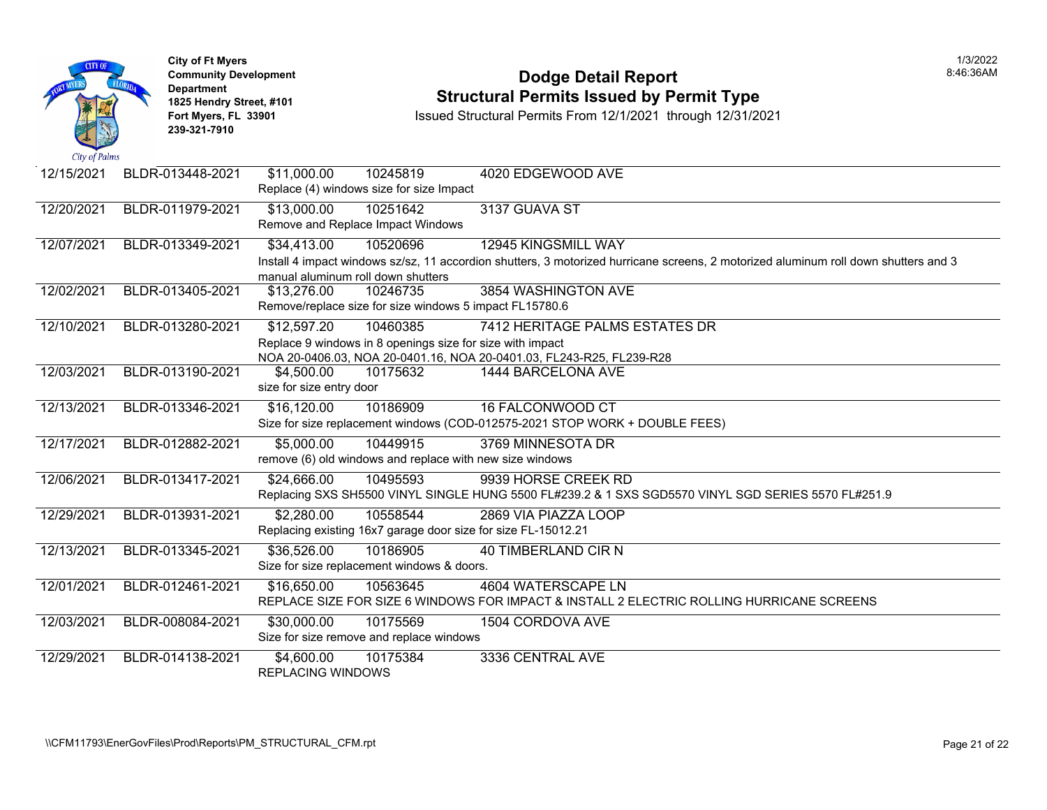| City of Palms | <b>City of Ft Myers</b><br><b>Community Development</b><br><b>Department</b><br>1825 Hendry Street, #101<br>Fort Myers, FL 33901<br>239-321-7910 |                                                   |                                                                       | <b>Dodge Detail Report</b><br><b>Structural Permits Issued by Permit Type</b><br>Issued Structural Permits From 12/1/2021 through 12/31/2021 |
|---------------|--------------------------------------------------------------------------------------------------------------------------------------------------|---------------------------------------------------|-----------------------------------------------------------------------|----------------------------------------------------------------------------------------------------------------------------------------------|
| 12/15/2021    | BLDR-013448-2021                                                                                                                                 | \$11,000.00                                       | 10245819<br>Replace (4) windows size for size Impact                  | 4020 EDGEWOOD AVE                                                                                                                            |
| 12/20/2021    | BLDR-011979-2021                                                                                                                                 | \$13,000.00<br>Remove and Replace Impact Windows  | 10251642                                                              | 3137 GUAVA ST                                                                                                                                |
| 12/07/2021    | BLDR-013349-2021                                                                                                                                 | \$34,413.00<br>manual aluminum roll down shutters | 10520696                                                              | <b>12945 KINGSMILL WAY</b><br>Install 4 impact windows sz/sz, 11 accordion shutters, 3 motorized hurricane screens, 2 motorized alumin       |
| 12/02/2021    | BLDR-013405-2021                                                                                                                                 | \$13,276.00                                       | 10246735<br>Remove/replace size for size windows 5 impact FL15780.6   | 3854 WASHINGTON AVE                                                                                                                          |
| 12/10/2021    | BLDR-013280-2021                                                                                                                                 | \$12,597.20                                       | 10460385<br>Replace 9 windows in 8 openings size for size with impact | 7412 HERITAGE PALMS ESTATES DR<br>NOA 20-0406.03, NOA 20-0401.16, NOA 20-0401.03, FL243-R25, FL239-R28                                       |
| 12/03/2021    | BLDR-013190-2021                                                                                                                                 | \$4,500.00<br>size for size entry door            | 10175632                                                              | 1444 BARCELONA AVE                                                                                                                           |
| 12/13/2021    | BLDR-013346-2021                                                                                                                                 | \$16,120.00                                       | 10186909                                                              | <b>16 FALCONWOOD CT</b><br>Size for size replacement windows (COD-012575-2021 STOP WORK + DOUBLE FEES)                                       |
| 12/17/2021    | BLDR-012882-2021                                                                                                                                 | \$5,000.00                                        | 10449915<br>remove (6) old windows and replace with new size windows  | 3769 MINNESOTA DR                                                                                                                            |
| 12/06/2021    | BLDR-013417-2021                                                                                                                                 | \$24,666.00                                       | 10495593                                                              | 9939 HORSE CREEK RD<br>Replacing SXS SH5500 VINYL SINGLE HUNG 5500 FL#239.2 & 1 SXS SGD5570 VINYL SGD SERIES                                 |
| 12/29/2021    | BLDR-013931-2021                                                                                                                                 | \$2,280.00                                        | 10558544                                                              | 2869 VIA PIAZZA LOOP<br>Replacing existing 16x7 garage door size for size FL-15012.21                                                        |
| 12/13/2021    | BLDR-013345-2021                                                                                                                                 | \$36,526.00                                       | 10186905<br>Size for size replacement windows & doors.                | <b>40 TIMBERLAND CIR N</b>                                                                                                                   |
| 12/01/2021    | BLDR-012461-2021                                                                                                                                 | \$16,650.00                                       | 10563645                                                              | 4604 WATERSCAPE LN<br>REPLACE SIZE FOR SIZE 6 WINDOWS FOR IMPACT & INSTALL 2 ELECTRIC ROLLING HURRICAN                                       |
| 12/03/2021    | BLDR-008084-2021                                                                                                                                 | \$30,000.00                                       | 10175569<br>Size for size remove and replace windows                  | 1504 CORDOVA AVE                                                                                                                             |
| 12/29/2021    | BLDR-014138-2021                                                                                                                                 | \$4,600.00<br><b>REPLACING WINDOWS</b>            | 10175384                                                              | 3336 CENTRAL AVE                                                                                                                             |